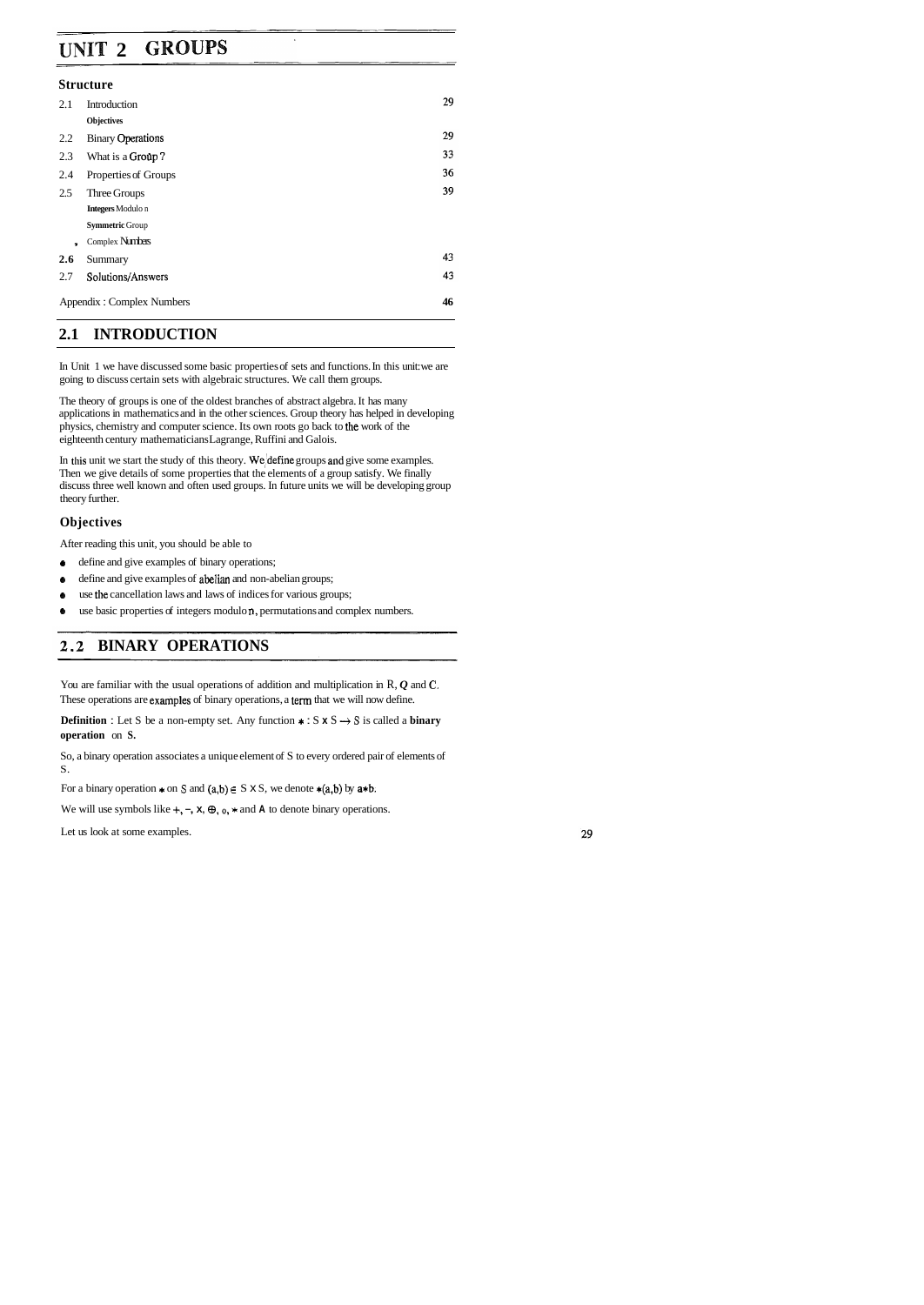#### **GROUPS UNIT 2**

#### **Structure**

| 2.1            | Introduction              | 29 |
|----------------|---------------------------|----|
|                | Objectives                |    |
| 2.2            | <b>Binary Operations</b>  | 29 |
| 2.3            | What is a Group?          | 33 |
| 2.4            | Properties of Groups      | 36 |
| 2.5            | Three Groups              | 39 |
|                | <b>Integers</b> Modulo n  |    |
|                | <b>Symmetric Group</b>    |    |
| $\overline{ }$ | Complex Numbers           |    |
| 2.6            | Summary                   | 43 |
| 2.7            | Solutions/Answers         | 43 |
|                | Appendix: Complex Numbers | 46 |

## **2.1 INTRODUCTION**

In Unit 1 we have discussed some basic properties of sets and functions. In this unit: we are going to discuss certain sets with algebraic structures. We call them groups.

In this unit we start the study of this theory. We define groups and give some examples. Then we give details of some properties that the elements of a group satisfy. We finally discuss three well known and often used groups. In future units we will be developing group theory further.

The theory of groups is one of the oldest branches of abstract algebra. It has many applications in mathematics and in the other sciences. Group theory has helped in developing physics, chemistry and computer science. Its own roots go back to the work of the eighteenth century mathematicians Lagrange, Ruffini and Galois.

**Definition :** Let S be a non-empty set. Any function  $\star : S \times S \rightarrow S$  is called a **binary operation** on **S.** 

## **Objectives**

After reading this unit, you should be able to

- **6** define and give examples of binary operations;
- **6** define and give examples of abelian and non-abelian groups;
- **6** use the cancellation laws and laws of indices for various groups;
- **6** use basic properties of integers modulo **n,** permutations and complex numbers.

# **BINARY OPERATIONS**

You are familiar with the usual operations of addition and multiplication in R, *Q* and **C.**  These operations are examples of binary operations, a term that we will now define.

So, a binary operation associates a unique element of S to every ordered pair of elements of S.

For a binary operation  $*$  on S and  $(a,b) \in S \times S$ , we denote  $*(a,b)$  by  $a*b$ .

We will use symbols like  $+$ ,  $-$ ,  $\times$ ,  $\oplus$ ,  $\circ$ ,  $*$  and  $\wedge$  to denote binary operations.

Let us look at some examples.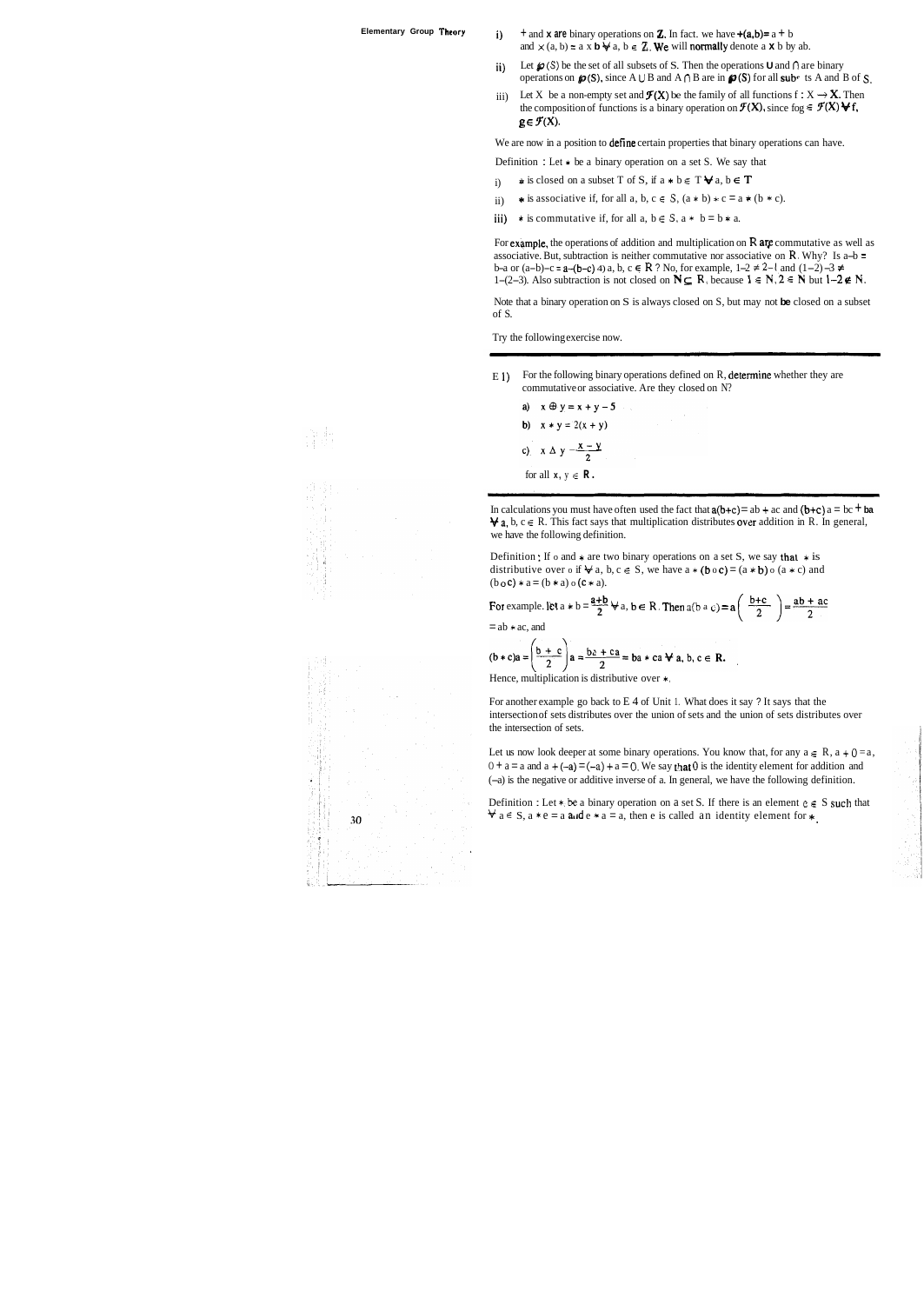- **Elementary Group Theory i)**  $+$  and **x** are binary operations on **Z**. In fact. we have  $+(a,b)=a+b$ and  $\times$  (a, b) = a x **b**  $\forall$  a, b  $\in$  **Z**. We will normally denote a **x** b by ab.
	- ii) Let  $\mathcal{P}(S)$  be the set of all subsets of S. Then the operations **U** and  $\cap$  are binary operations on  $\boldsymbol{\varphi}$ (S), since A  $\cup$  B and A  $\cap$  B are in  $\boldsymbol{\varphi}$ (S) for all subc ts A and B of S.
	- iii) Let X be a non-empty set and  $\mathcal{F}(X)$  be the family of all functions  $f : X \to X$ . Then the composition of functions is a binary operation on  $\mathcal{F}(X)$ , since fog  $\in \mathcal{F}(X) \blacktriangleright f$ ,  $g \in \mathcal{F}(X)$ .

We are now in a position to **define** certain properties that binary operations can have.

- Definition : Let  $*$  be a binary operation on a set S. We say that
- i)  $\star$  is closed on a subset T of S, if  $a \star b \in T \forall a, b \in T$
- ii)  $\star$  is associative if, for all a, b, c  $\in$  S,  $(a * b) * c = a * (b * c)$ .
- iii)  $\star$  is commutative if, for all  $a, b \in S$ ,  $a \star b = b \star a$ .

For example, the operations of addition and multiplication on **R** are commutative as well as associative. But, subtraction is neither commutative nor associative on  $\mathbf{R}$ . Why? Is a-b = b-a or (a-b)-c = a-(b-c) 4) a, b, c  $\in$  **R** ? No, for example, 1-2 ≠ 2-1 and (1-2) -3 ≠ 1-(2-3). Also subtraction is not closed on  $N \subseteq R$ , because  $1 \in N$ ,  $2 \in N$  but  $1-2 \notin N$ .

E 1) For the following binary operations defined on  $R$ , determine whether they are commutative or associative. Are they closed on N?

a)  $x \oplus y = x + y - 5$ b)  $x * y = 2(x + y)$ c)  $x \Delta y = \frac{x - y}{2}$ for all  $x, y \in \mathbb{R}$ .

In calculations you must have often used the fact that  $a(b+c) = ab + ac$  and  $(b+c)$   $a = bc + ba$  $\forall$  a, b,  $c \in R$ . This fact says that multiplication distributes over addition in R. In general, we have the following definition.

Definition : If o and  $*$  are two binary operations on a set S, we say that  $*$  is distributive over  $\circ$  if  $\forall$  a,  $b, c \in S$ , we have  $a * (b \circ c) = (a * b) \circ (a * c)$  and  $(b \circ c) * a = (b * a) \circ (c * a).$ 

For example. let  $a * b = \frac{a+b}{2} \forall a, b \in R$ . Then  $a(b \land c) = a\left(\frac{b+c}{2}\right) = \frac{ab+ac}{2}$ 

 $=$  ab  $*$  ac, and

 $\overline{\mathcal{L}}$ 

$$
b * c)a = \left(\frac{b + c}{2}\right)a = \frac{b \lambda + c a}{2} = ba * ca \forall a, b, c \in \mathbb{R}.
$$

Hence, multiplication is distributive over  $\ast$ ,

Note that a binary operation on S is always closed on S, but may not **be** closed on a subset of S.

Let us now look deeper at some binary operations. You know that, for any  $a \in R$ ,  $a + 0 = a$ ,  $0 + a = a$  and  $a + (-a) = (-a) + a = 0$ . We say that 0 is the identity element for addition and (-a) is the negative or additive inverse of a. In general, we have the following definition.

Definition : Let  $*$  be a binary operation on a set S. If there is an element  $c \in S$  such that  $\forall$  a  $\in$  S, a  $\ast$  e = a and e  $\ast$  a = a, then e is called an identity element for  $\ast$ .

 $30$ 

Try the following exercise now.

For another example go back to E 4 of Unit 1. What does it say ? It says that the intersection of sets distributes over the union of sets and the union of sets distributes over the intersection of sets.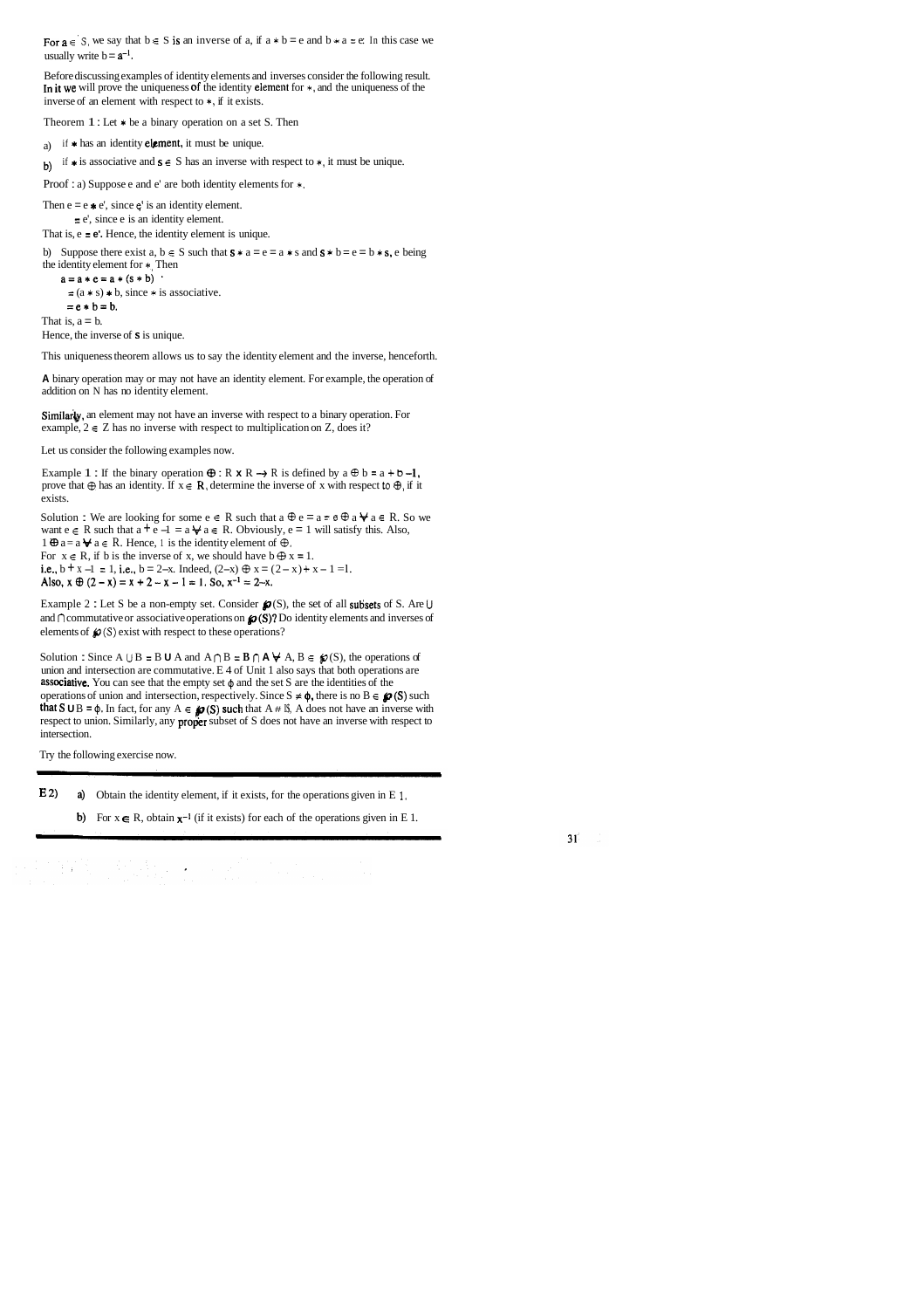For  $a \in S$ , we say that  $b \in S$  is an inverse of a, if  $a * b = e$  and  $b * a = e$ . In this case we usually write  $b = a^{-1}$ .

Before discussing examples of identity elements and inverses consider the following result. In it we will prove the uniqueness of the identity element for \*, and the uniqueness of the inverse of an element with respect to \*, if it exists.

Theorem  $1:$  Let  $*$  be a binary operation on a set S. Then

- a) if  $*$  has an identity **element**, it must be unique.
- b) if  $\ast$  is associative and  $s \in S$  has an inverse with respect to  $\ast$ , it must be unique.

Then  $e = e * e'$ , since  $e'$  is an identity element. = e', since e is an identity element.

b) Suppose there exist  $a, b \in S$  such that  $s * a = e = a * s$  and  $s * b = e = b * s$ , e being the identity element for \*, Then

 $a=a*e=a*(s*b)$ 

```
=(a * s) * b, since * is associative.
```
 $= e * b = b.$ 

That is,  $a = b$ .

Hence, the inverse of  $s$  is unique.

Proof : a) Suppose e and e' are both identity elements for \*.

That is, e = **e'.** Hence, the identity element is unique.

Example 1 : If the binary operation  $\oplus$  : R **x** R  $\rightarrow$  R is defined by a  $\oplus$  b = a + b -1, prove that  $\oplus$  has an identity. If  $x \in \mathbb{R}$ , determine the inverse of x with respect to  $\oplus$ , if it exists.

Solution : We are looking for some  $e \in R$  such that  $a \oplus e = a = a \oplus a \oplus a \oplus a$ . So we want  $e \in R$  such that  $a + e - 1 = a \nless a \in R$ . Obviously,  $e = 1$  will satisfy this. Also, 1  $\oplus$  a= a  $\bigvee$  a  $\in$  R. Hence, 1 is the identity element of  $\oplus$ . For  $x \in R$ , if b is the inverse of x, we should have  $b \oplus x = 1$ . i.e.,  $b + x - 1 = 1$ , i.e.,  $b = 2-x$ . Indeed,  $(2-x) \oplus x = (2-x) + x - 1 = 1$ . Also,  $x \oplus (2-x) = x + 2 - x - 1 = 1$ . So,  $x^{-1} = 2-x$ .

Example 2 : Let S be a non-empty set. Consider  $\mathbf{\varphi}$  (S), the set of all subsets of S. Are  $\cup$ and  $\cap$  commutative or associative operations on  $\mathcal{P}(S)$ ? Do identity elements and inverses of elements of  $\mathcal{Q}(S)$  exist with respect to these operations?

This uniqueness theorem allows us to say the identity element and the inverse, henceforth.

**A** binary operation may or may not have an identity element. For example, the operation of addition on N has no identity element.

Similarly, an element may not have an inverse with respect to a binary operation. For example,  $2 \in \mathbb{Z}$  has no inverse with respect to multiplication on  $\mathbb{Z}$ , does it?

Solution : Since A  $\cup$  B = B **U** A and A  $\cap$  B = **B**  $\cap$  **A**  $\forall$  A, B  $\in$   $\sharp$  (S), the operations of union and intersection are commutative. E 4 of Unit 1 also says that both operations are **associative.** You can see that the empty set  $\phi$  and the set S are the identities of the operations of union and intersection, respectively. Since  $S \neq \phi$ , there is no  $B \in \mathcal{P}(S)$  such that S U B =  $\phi$ . In fact, for any A  $\epsilon \circ \phi$ (S) such that A # I\$, A does not have an inverse with respect to union. Similarly, any proper subset of S does not have an inverse with respect to intersection.

Let us consider the following examples now.

Try the following exercise now.

**E** 2) a) Obtain the identity element, if it exists, for the operations given in E **1.** 

b) For  $x \in R$ , obtain  $x^{-1}$  (if it exists) for each of the operations given in E 1.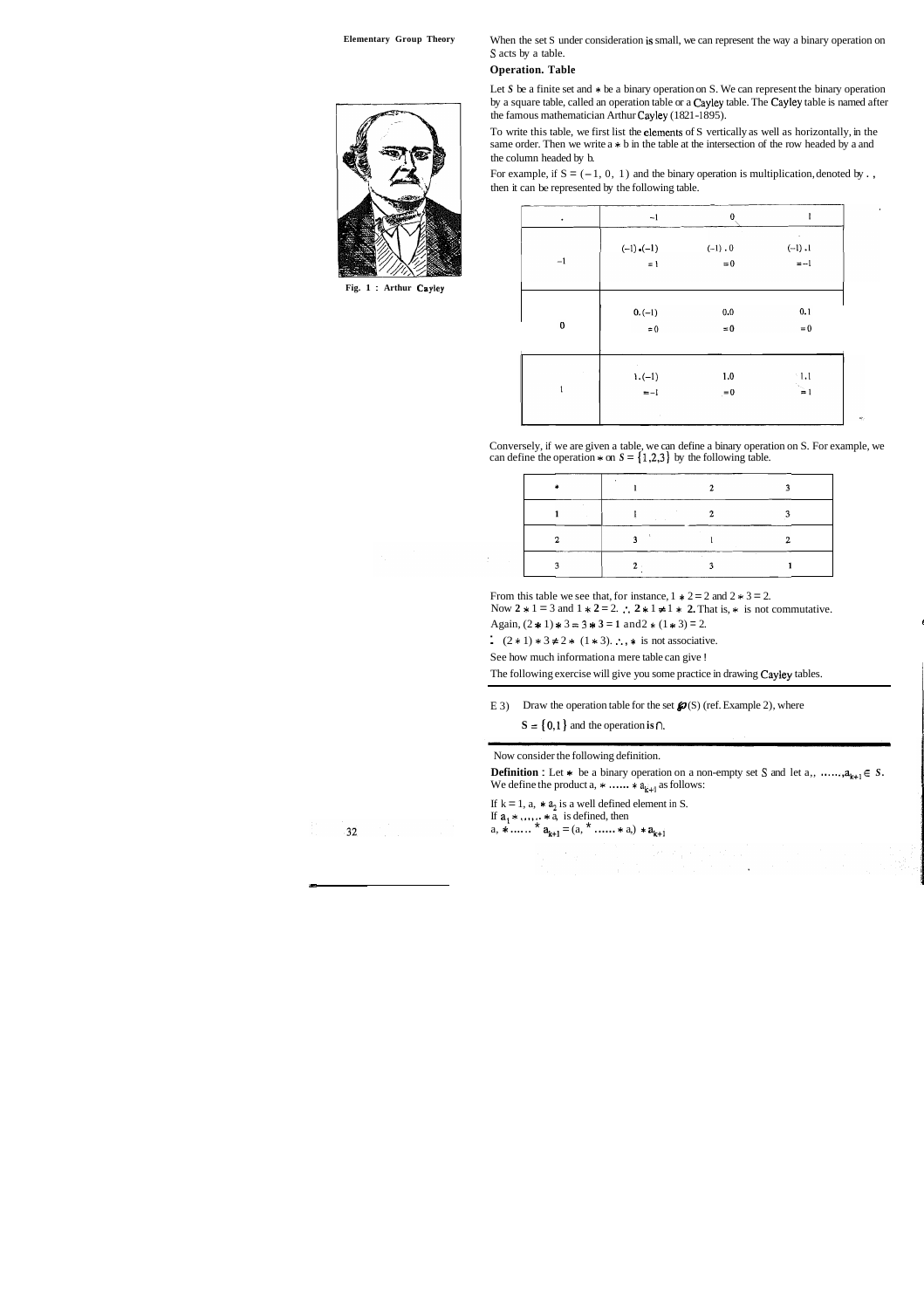**Elementary Group Theory** When the set S under consideration is small, we can represent the way a binary operation on **S** acts by a table.

### **Operation. Table**

Let *S* be a finite set and  $*$  be a binary operation on *S*. We can represent the binary operation by a square table, called an operation table or a Cayley table. The Cayley table is named after the famous mathematician Arthur Cayley (1821-1895).

For example, if  $S = (-1, 0, 1)$  and the binary operation is multiplication, denoted by . then it can be represented by the following table.

| $\bullet$    | $-1$               | $\bf{0}$    | 1                   |
|--------------|--------------------|-------------|---------------------|
|              | $(-1)$ . $(-1)$    | $(-1) . 0$  | $\cdot$<br>$(-1)$ . |
| $-1$         | $= 1$              | $\!=\!0$    | $= -1$              |
|              | $0.(-1)$           | $0.0\,$     | 0.1                 |
| $\pmb{0}$    | $\approx 0$        | $\approx 0$ | $\!=\!0$            |
|              | $\sim$<br>$1.(-1)$ | $1.0\,$     | $^{\circ}1.1$       |
| $\mathbf{1}$ | $=-1$              | $= 0$       | $\geq$              |
|              | $\alpha$           |             |                     |

Conversely, if we are given a table, we can define a binary operation on S. For example, we can define the operation  $*$  on  $S = \{1,2,3\}$  by the following table.

| . |  |  |
|---|--|--|
|   |  |  |
|   |  |  |

From this table we see that, for instance,  $1 * 2 = 2$  and  $2 * 3 = 2$ .

Now  $2 * 1 = 3$  and  $1 * 2 = 2$ .  $\therefore$   $2 * 1 \neq 1 * 2$ . That is,  $*$  is not commutative.

Again,  $(2 \times 1) \times 3 = 3 \times 3 = 1$  and  $2 \times (1 \times 3) = 2$ .

:  $(2 * 1) * 3 \neq 2 * (1 * 3)$ .  $\therefore$ ,  $*$  is not associative.

See how much information a mere table can give !

To write this table, we first list the elements of S vertically as well as horizontally, in the same order. Then we write  $a * b$  in the table at the intersection of the row headed by a and the column headed by b.



**Fig. 1** : **Arthur Cayley** 

The following exercise will give you some practice in drawing Cayley tables.

E 3) Draw the operation table for the set  $\mathcal{P}(S)$  (ref. Example 2), where

 $S = \{0,1\}$  and the operation **is**  $\cap$ .

#### Now consider the following definition.

**Definition :** Let  $*$  be a binary operation on a non-empty set S and let a,, ......, $a_{k+1} \in S$ . We define the product a,  $*$  ......  $* a_{k+1}$  as follows:

If  $k = 1$ ,  $a_1 * a_2$  is a well defined element in S. If  $a_1 * \ldots * a_n$  is defined, then a,  $*\dots$   $*$   $a_{k+1} = (a, * \dots * a_n) * a_{k+1}$ 

 $32<sub>1</sub>$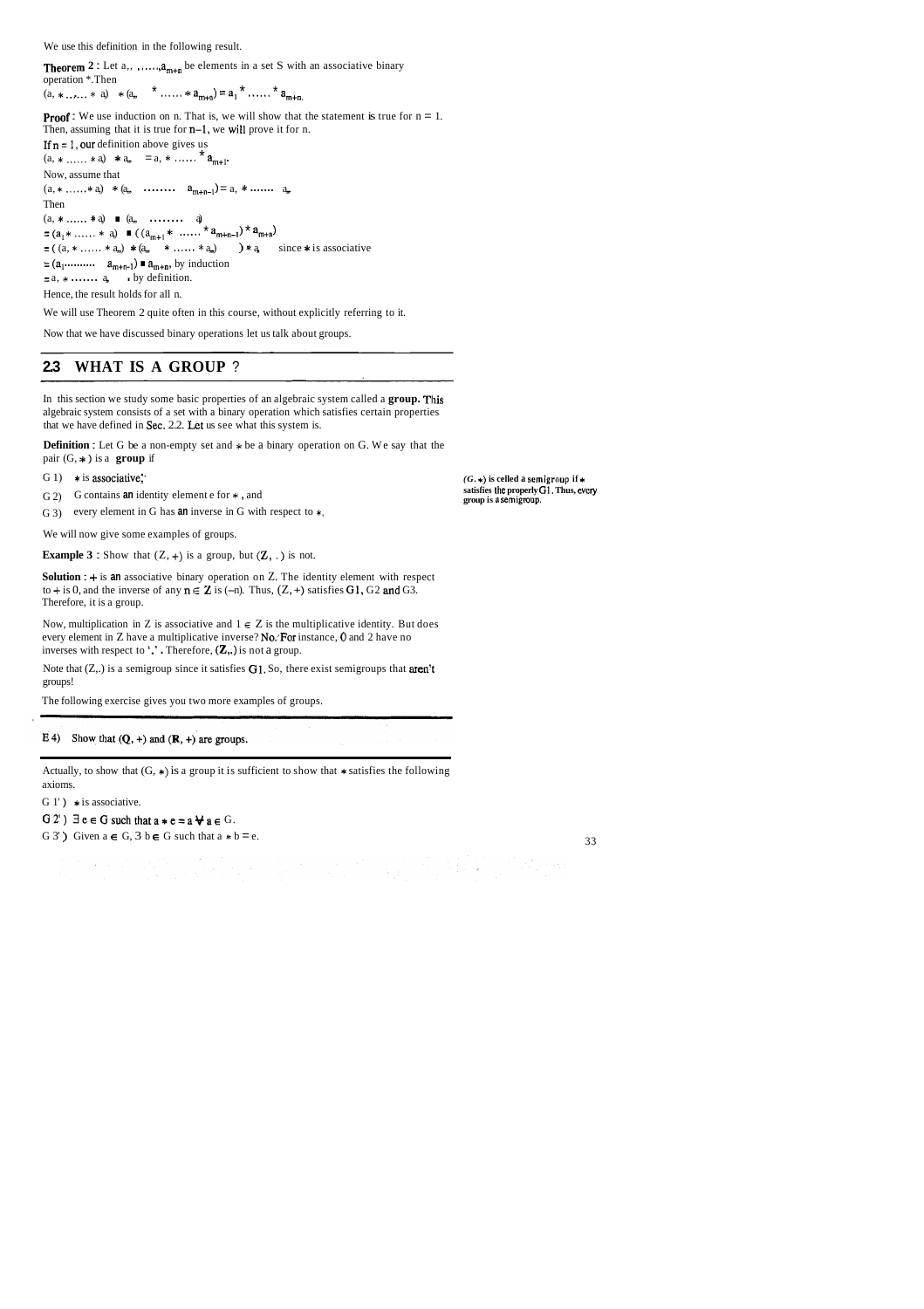We use this definition in the following result.

**Theorem 2**: Let  $a_1, \ldots, a_{m+n}$  be elements in a set S with an associative binary operation \*.Then

(a,  $* \dots * a$ )  $* (a_n * \dots * a_{m+n}) = a_1 * \dots * a_{m+n}$ 

**Proof :** We use induction on n. That is, we will show that the statement is true for  $n = 1$ . Then, assuming that it is true for n-1, we will prove it for n. If  $n = 1$ , our definition above gives us  $(a, * \ldots * a) * a_m = a, * \ldots * a_{m+1}.$ Now, assume that  $(a, * \ldots * a) * (a, \ldots * a_{m+n-1}) = a, * \ldots a_n$ Then (a, \* ......\* a,) \* (a,, ......... a<sub>m+</sub><br>Then<br>(a, \* ...... \* a)  $\blacksquare$  (a, ......... a) Then<br>  $(a, * \dots * a) \blacksquare (a, * \dots * a) \blacksquare ((a_{m+1} * \dots * a_{m+n-1}) * a_{m+n})$ <br>  $= (a_1 * \dots * a) \blacksquare ((a_{m+1} * \dots * a_{m+n-1}) * a_{m+n})$  $= ((a, *...... * a_m) * (a, *...... * a_m) ) * a,$  since \* is associative  $=(a_1 \dots \dots \dots \ a_{m+n-1}) \blacksquare a_{m+n}$ , by induction  $=$ a,  $*$  ....... a, by definition. Hence, the result holds for all n.

> $(G, *)$  is celled a semigroup if  $*$ **satisfies Ihc properly GI. Thus, evcry group is n semigroup.**

We will use Theorem 2 quite often in this course, without explicitly referring to it.

Now that we have discussed binary operations let us talk about groups.

## **2.3 WHAT IS A GROUP** ?

Note that  $(Z_n)$  is a semigroup since it satisfies G1. So, there exist semigroups that **aren't** groups!

In this section we study some basic properties of an algebraic system called a **group.** This algebraic system consists of a set with a binary operation which satisfies certain properties that we have defined in Sec. 2.2. Lct us see what this system is.

Actually, to show that  $(G, *)$  is a group it is sufficient to show that  $*$  satisfies the following axioms.

G 1' )  $*$  is associative.

G 2')  $\exists e \in G$  such that  $a * e = a \forall a \in G$ .

G 3') Given  $a \in G$ ,  $3 \mid b \in G$  such that  $a * b = e$ . 33

**Definition** : Let G be a non-empty set and \* be a binary operation on G. We say that the pair (G, \* ) is a **group** if

G 1)  $*$  is associative.

G 2) G contains **an** identity element e for \* , and

G 3) every element in G has **an** inverse in G with respect to \*.

We will now give some examples of groups.

**Example 3 :** Show that  $(Z, +)$  is a group, but  $(Z, \cdot)$  is not.

**Solution** : + is **an** associative binary operation on Z. The identity element with respect to + is 0, and the inverse of any  $n \in \mathbb{Z}$  is (-n). Thus,  $(Z, +)$  satisfies G1, G2 and G3. Therefore, it is a group.

Now, multiplication in Z is associative and  $1 \in Z$  is the multiplicative identity. But does every element in Z have a multiplicative inverse? No:For instance, **0** and 2 have no inverses with respect to '.' . Therefore,  $(\mathbb{Z},.)$  is not a group.

The following exercise gives you two more examples of groups.

#### E 4) Show that  $(Q, +)$  and  $(R, +)$  are groups.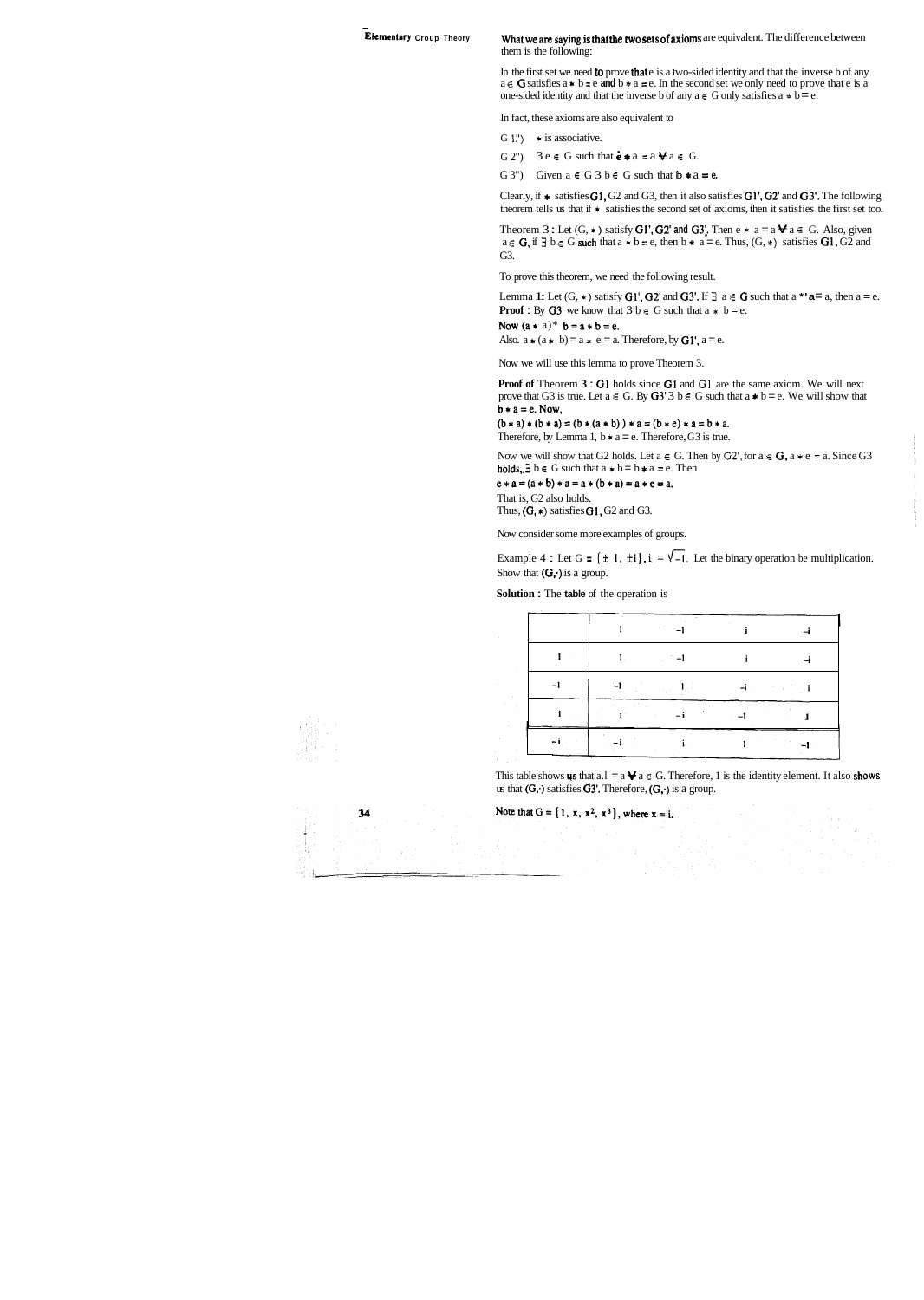#### **Elementary Croup Theory**

#### What we are saying is that the two sets of axioms are equivalent. The difference between them is the following:

In the first set we need **to** prove that e is a two-sided identity and that the inverse b of any  $a \in G$  satisfies  $a * b = e$  and  $b * a = e$ . In the second set we only need to prove that e is a one-sided identity and that the inverse b of any  $a \in G$  only satisfies  $a * b = e$ .

Clearly, if  $*$  satisfies  $G1$ ,  $G2$  and  $G3$ , then it also satisfies  $G1'$ ,  $G2'$  and  $G3'$ . The following theorem tells us that if \* satisfies the second set of axioms, then it satisfies the first set too.

In fact, these axioms are also equivalent to

- G 1")  $*$  is associative.
- G 2")  $3e \in G$  such that  $\mathbf{e} * a = a \mathbf{\Psi} a \in G$ .
- G 3") Given  $a \in G$  3  $b \in G$  such that  $b * a = e$ .

Theorem 3 : Let  $(G, *)$  satisfy **G1', G2' and G3'.** Then  $e * a = a \mathbf{\Psi} a \in G$ . Also, given  $a \in G$ , if  $\exists b \in G$  such that  $a * b = e$ , then  $b * a = e$ . Thus,  $(G, *)$  satisfies  $GI, G2$  and G3.

That is, G2 also holds. Thus,  $(G, *)$  satisfies  $G1$ ,  $G2$  and  $G3$ .

To prove this theorem, we need the following result.

Lemma 1: Let  $(G, *)$  satisfy  $G1', G2'$  and  $G3'.$  If  $\exists a \in G$  such that a **\*'a**= a, then a = e. **Proof :** By  $G3'$  we know that  $3 b \in G$  such that  $a * b = e$ .

Now  $(a * a)* b = a * b = e$ .

Also.  $a * (a * b) = a * e = a$ . Therefore, by G1',  $a = e$ .

Now we will use this lemma to prove Theorem 3.

**Proof of Theorem 3: G1 holds since G1 and G1' are the same axiom. We will next** prove that G3 is true. Let  $a \in G$ . By G3' 3  $b \in G$  such that  $a * b = e$ . We will show that  $b * a = e$ . Now,

 $(b * a) * (b * a) = (b * (a * b)) * a = (b * c) * a = b * a.$ Therefore, by Lemma 1,  $b * a = e$ . Therefore, G3 is true.

Now we will show that G2 holds. Let  $a \in G$ . Then by  $G2'$ , for  $a \in G$ ,  $a * e = a$ . Since G3 holds,  $\exists b \in G$  such that  $a * b = b * a = e$ . Then

 $e * a = (a * b) * a = a * (b * a) = a * e = a$ .

Now consider some more examples of groups.

Example 4 : Let G =  $\{\pm 1, \pm i\}$ ,  $i = \sqrt{-1}$ . Let the binary operation be multiplication. Show that  $(G, \cdot)$  is a group.

**Solution** : The **table** of the operation is

| <b>EXHIBITION</b> |  |  |  |
|-------------------|--|--|--|
|                   |  |  |  |
|                   |  |  |  |
|                   |  |  |  |
|                   |  |  |  |

This table shows **us** that  $a.l = a \bigvee a \in G$ . Therefore, 1 is the identity element. It also **shows** us that  $(G, \cdot)$  satisfies  $G3'$ . Therefore,  $(G, \cdot)$  is a group.

Note that  $G = \{1, x, x^2, x^3\}$ , where  $x = i$ .



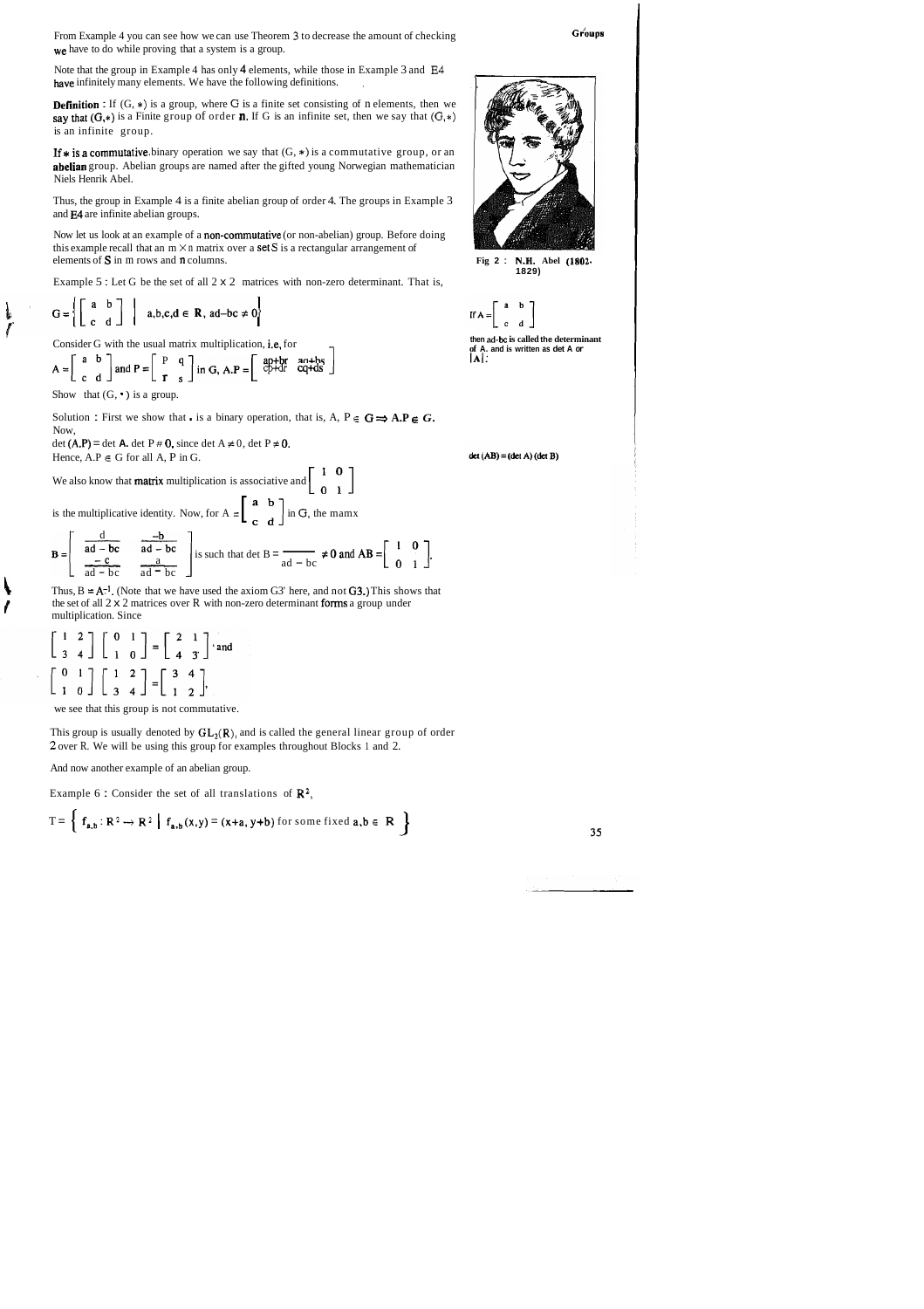From Example 4 you can see how we can use Theorem **3** to decrease the amount of checking we have to do while proving that a system is a group.

Note that the group in Example 4 has only 4 elements, while those in Example 3 and **E4**  have infinitely many elements. We have the following definitions.

**Definition**: If  $(G, *)$  is a group, where G is a finite set consisting of n elements, then we say that  $(G,*)$  is a Finite group of order **n**. If G is an infinite set, then we say that  $(G,*)$ is an infinite group.

If  $*$  is a commutative binary operation we say that  $(G, *)$  is a commutative group, or an abelian group. Abelian groups are named after the gifted young Norwegian mathematician Niels Henrik Abel.

Solution : First we show that is a binary operation, that is, A,  $P \in G \implies A.P \in G$ . Now,

det (A.P) = det A. det P  $\#$  0, since det A  $\neq$  0, det P  $\neq$  0. Hence,  $A.P \in G$  for all  $A$ ,  $P$  in  $G$ .

We also know that **matrix** multiplication is associative and  $\begin{bmatrix} 1 & 0 \\ 0 & 1 \end{bmatrix}$ 

is the multiplicative identity. Now, for  $A = \begin{bmatrix} a & b \\ c & d \end{bmatrix}$  in *G*, the mamx

Thus, the group in Example 4 is a finite abelian group of order 4. The groups in Example 3 and E4 are infinite abelian groups.

Now let us look at an example of a non-commutative (or non-abelian) group. Before doing this example recall that an  $m \times n$  matrix over a **set S** is a rectangular arrangement of elements of S in m rows and n columns. **Fig 2** : **N.H. Abel (1802.** 

**k** Thus,  $B = A^{-1}$ . (Note that we have used the axiom G3' here, and not **G3.)** This shows that *I* the set of all  $2 \times 2$  matrices over R with non-zero determinant forms a group under multiplication. Since

$$
\begin{bmatrix} 1 & 2 \\ 3 & 4 \end{bmatrix} \begin{bmatrix} 0 & 1 \\ 1 & 0 \end{bmatrix} = \begin{bmatrix} 2 & 1 \\ 4 & 3 \end{bmatrix}
$$
 and 
$$
\begin{bmatrix} 0 & 1 \\ 1 & 0 \end{bmatrix} \begin{bmatrix} 1 & 2 \\ 3 & 4 \end{bmatrix} = \begin{bmatrix} 3 & 4 \\ 1 & 2 \end{bmatrix}
$$

**1829)** 



This group is usually denoted by  $GL_2(\mathbb{R})$ , and is called the general linear group of order **2** over R. We will be using this group for examples throughout Blocks 1 and 2.

Example 5 : Let G be the set of all 2 x 2 matrices with non-zero determinant. That is,

 $\overline{1}$ 

$$
G = \left\{ \left[ \begin{array}{cc} a & b \\ c & d \end{array} \right] \middle| a, b, c, d \in \mathbb{R}, ad-bc \neq 0 \right\}
$$

Consider G with the usual matrix multiplication, i.e, for

$$
A = \begin{bmatrix} a & b \\ c & d \end{bmatrix}
$$
 and  $P = \begin{bmatrix} P & q \\ r & s \end{bmatrix}$  in G,  $A.P = \begin{bmatrix} ap+br & an+bs \\ cp+dt & cq+ds \end{bmatrix}$ 

Show that  $(G, \cdot)$  is a group.

 $\mathbf{I}$  $\int$ 

**then ad-bc is called the determinant of A. and is written as det A or IA~:** 

 $det(AB) = (det A) (det B)$ 

Hence, A.P 
$$
\in
$$
 G for all A, P in G.  
\nWe also know that **matrix** multiplication is associative and  $\begin{bmatrix} 1 & 0 \\ 0 & 1 \end{bmatrix}$   
\nis the multiplicative identity. Now, for A =  $\begin{bmatrix} a & b \\ c & d \end{bmatrix}$  in G, the manx  
\n
$$
B = \begin{bmatrix} \frac{d}{ad - bc} & \frac{-b}{ad - bc} \\ \frac{-c}{ad - bc} & \frac{a}{ad - bc} \end{bmatrix}
$$
\nis such that det B =  $\frac{1}{ad - bc} \neq 0$  and AB =  $\begin{bmatrix} 1 & 0 \\ 0 & 1 \end{bmatrix}$ .  
\nThus, B = A<sup>-1</sup> (Note that we have used the axiom G3' here, and not G3.) This shows the

we see that this group is not commutative.

And now another example of an abelian group.

Example 6: Consider the set of all translations of 
$$
\mathbb{R}^2
$$
,  
\n
$$
T = \begin{cases} f_{a,b} : \mathbb{R}^2 \to \mathbb{R}^2 \mid f_{a,b}(x,y) = (x+a, y+b) \text{ for some fixed } a,b \in \mathbb{R} \end{cases}
$$

35



Groups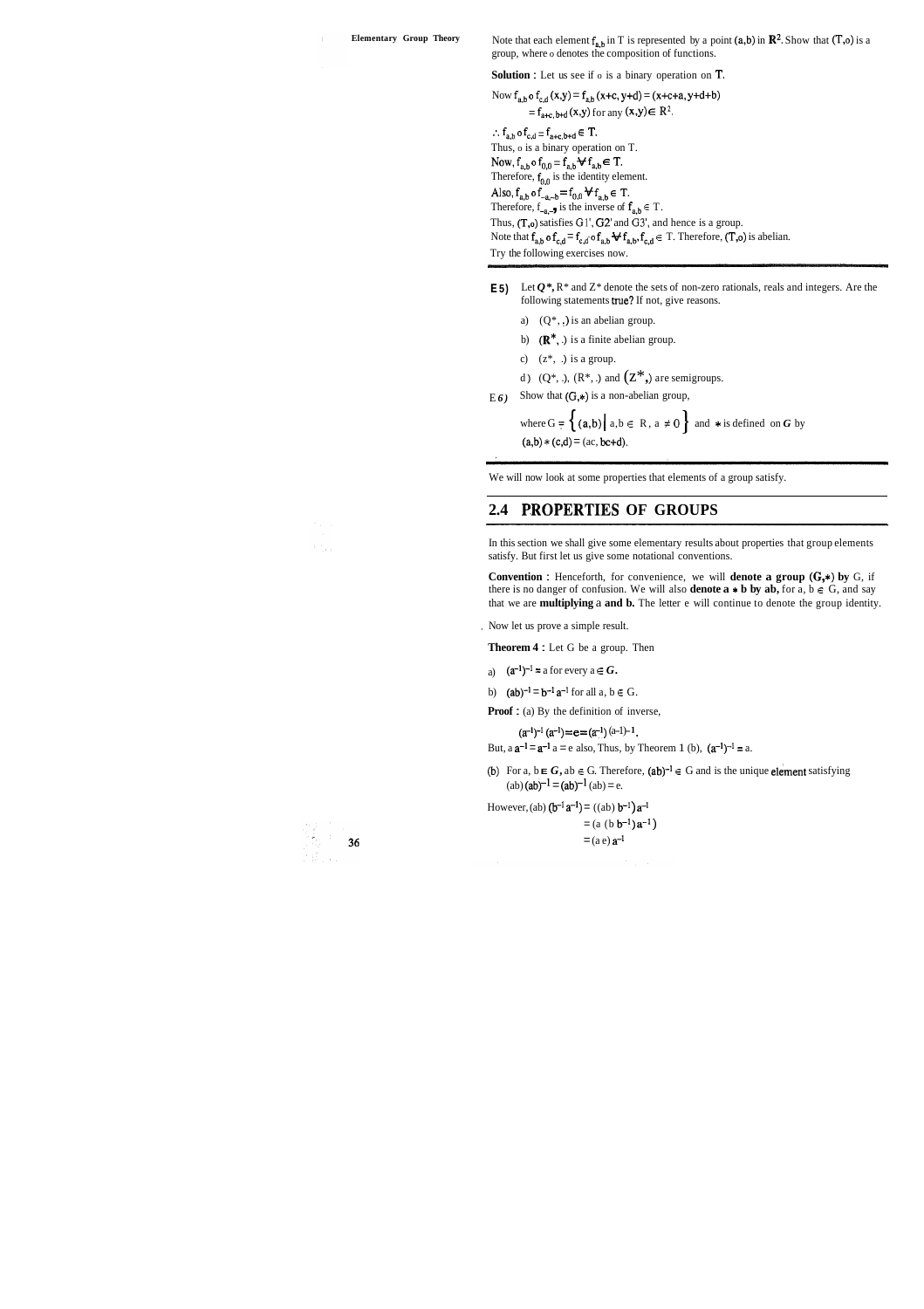**Elementary Group Theory** Note that each element  $f_{a,b}$  in T is represented by a point (a,b) in  $\mathbb{R}^2$ . Show that (T,o) is a group, where o denotes the composition of functions.

**Solution** : Let us see if o is a binary operation on T.

Now  $f_{a,b}$  o  $f_{c,d}$  (x,y) =  $f_{a,b}$  (x+c, y+d) = (x+c+a, y+d+b)  $=$   $f_{\text{a+c, b+d}}(x,y)$  for any  $(x,y) \in \mathbb{R}^2$ . ..  $f_{a,b}$  o  $f_{c,d} = f_{a+c, b+d} \in T$ . Thus, o is a binary operation on T. Now,  $f_{a,b}$  o  $f_{0,0} = f_{a,b}$   $\forall$   $f_{a,b} \in T$ . Therefore,  $f_{0,0}$  is the identity element. Also,  $f_{a,b}$  o  $f_{-a,-b} = f_{0,0} \forall f_{a,b} \in T$ . Therefore,  $f_{-a,-}$  is the inverse of  $f_{a,b} \in T$ . Thus, (T,o) satisfies Gl', G2' and *G3',* and hence is a group. Note that  $f_{a,b}$  o  $f_{c,d} = f_{c,d}$  o  $f_{a,b}$   $\forall f_{a,b}$ ,  $f_{c,d} \in T$ . Therefore,  $(T,o)$  is abelian.

Try the following exercises now.

- **E 5)** Let  $Q^*$ ,  $R^*$  and  $Z^*$  denote the sets of non-zero rationals, reals and integers. Are the following statements true? If not, give reasons.
	- a)  $(Q^*, \cdot)$  is an abelian group.

b)  $(\mathbb{R}^*, \cdot)$  is a finite abelian group.

c)  $(z^*, \cdot)$  is a group.

d)  $(Q^*, \cdot)$ ,  $(R^*, \cdot)$  and  $(Z^*, \cdot)$  are semigroups.

 $E_6$ ) Show that  $(G,*)$  is a non-abelian group,

where  $G = \{ (a,b) | a,b \in R, a \neq 0 \}$  and \* is defined on *G* by  $(a,b)*(c,d) = (ac, bc+d).$ 

**Convention :** Henceforth, for convenience, we will **denote a group**  $(G_*)$  by  $G$ , if there is no danger of confusion. We will also **denote a**  $*$  **b** by ab, for a,  $b \in G$ , and say that we are **multiplying** a **and b.** The letter e will continue to denote the group identity.

We will now look at some properties that elements of a group satisfy.

## 2.4 PROPERTIES OF GROUPS

In this section we shall give some elementary results about properties that group elements satisfy. But first let us give some notational conventions.

, Now let us prove a simple result.

**Theorem 4** : Let G be a group. Then

- a)  $(a^{-1})^{-1} = a$  for every  $a \in G$ .
- b)  $(ab)^{-1} = b^{-1} a^{-1}$  for all  $a, b \in G$ .

**Proof :** (a) By the definition of inverse,

 $(a^{-1})^{-1} (a^{-1}) = e = (a^{-1}) (a^{-1})^{-1}$ .

But,  $a \, a^{-1} = a^{-1} \, a = e$  also, Thus, by Theorem 1 (b),  $(a^{-1})^{-1} = a$ .

(b) For a,  $b \in G$ ,  $ab \in G$ . Therefore,  $(ab)^{-1} \in G$  and is the unique **element** satisfying  $(ab) (ab)^{-1} = (ab)^{-1} (ab) = e.$ 

However, (ab)  $(b^{-1} a^{-1}) = ((ab) b^{-1}) a^{-1}$  $= (a (b b<sup>-1</sup>) a<sup>-1</sup>)$  $=$  (a e)  $a^{-1}$ 



 $\mathcal{F}(\mathbb{S}_{t})$  .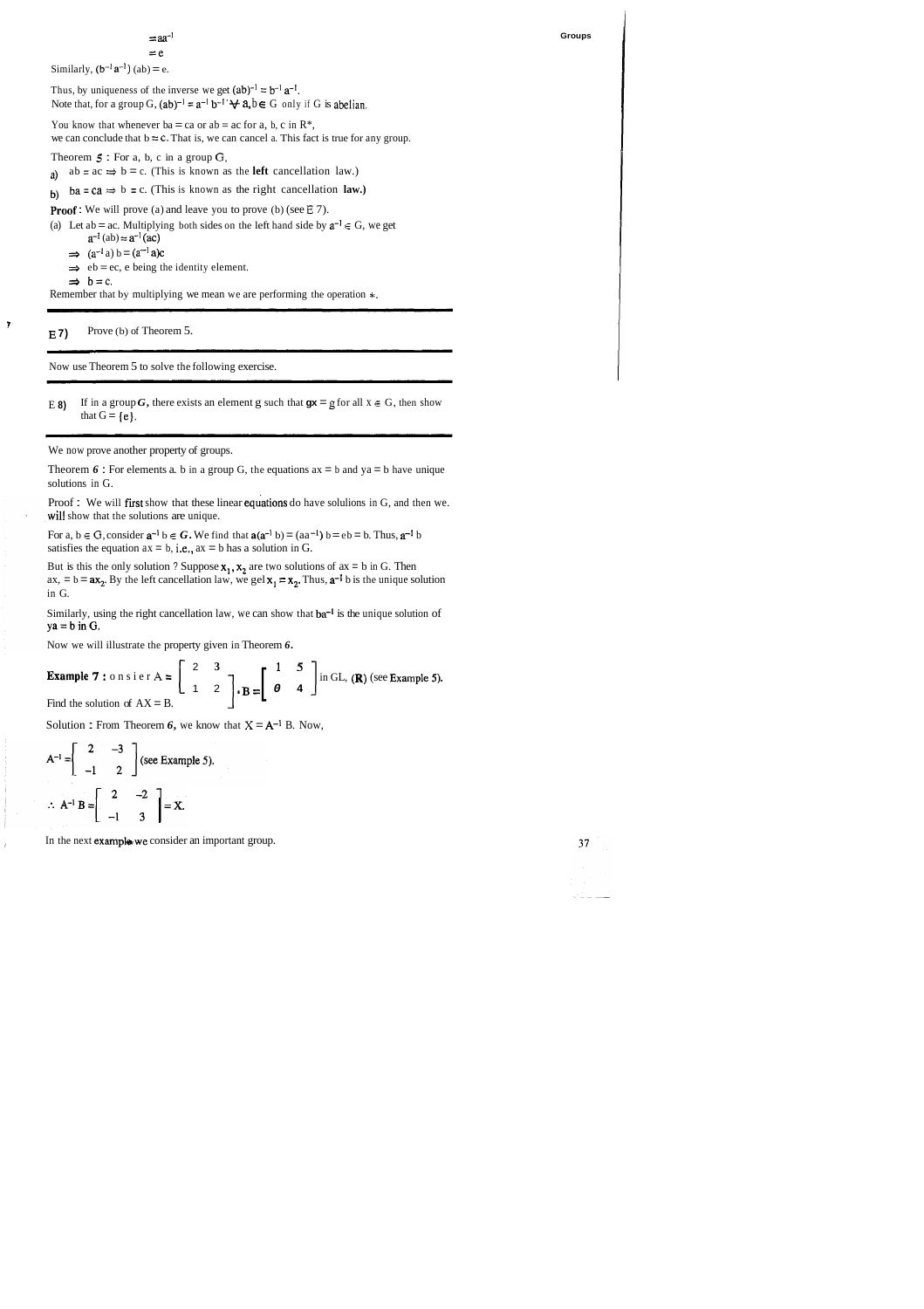#### $=$  $aa^ =$ e

Similarly,  $(b^{-1}a^{-1})$  (ab) = e.

Thus, by uniqueness of the inverse we get  $(ab)^{-1} = b^{-1} a^{-1}$ . Note that, for a group G,  $(ab)^{-1} = a^{-1}b^{-1}$   $\forall a, b \in G$  only if G is abelian.

You know that whenever ba = ca or ab = ac for a, b, c in  $\mathbb{R}^*$ , we can conclude that  $b = c$ . That is, we can cancel a. This fact is true for any group.

Theorem **5** : For a, b, c in a group *G,* 

a) ab = ac  $\Rightarrow$  b = c. (This is known as the **left** cancellation law.)

b) ba = ca  $\Rightarrow$  b = c. (This is known as the right cancellation **law.)** 

**Proof**: We will prove (a) and leave you to prove (b) (see E 7).

(a) Let ab = ac. Multiplying both sides on the left hand side by  $a^{-1} \in G$ , we get  $a^{-1}$  (ab) =  $a^{-1}$ 

 $a^{-1}$  (ab)  $\approx a^{-1}$  (ac)<br>  $\Rightarrow$  (a<sup>-1</sup> a) b = (a<sup>-1</sup> a)c

 $\Rightarrow$  eb = ec, e being the identity element.

 $\Rightarrow$  **b** = c.

Theorem  $6$ : For elements a. b in a group G, the equations  $ax = b$  and  $ya = b$  have unique solutions in G.

Proof : We will first show that these linear equations do have solulions in G, and then we. will show that the solutions are unique.

For a,  $b \in G$ , consider  $a^{-1} b \in G$ . We find that  $a(a^{-1} b) = (aa^{-1}) b = eb = b$ . Thus,  $a^{-1} b$ satisfies the equation  $ax = b$ , i.e.,  $ax = b$  has a solution in G.

But is this the only solution ? Suppose  $x_1$ ,  $x_2$  are two solutions of  $ax = b$  in G. Then  $ax, = b = ax_2$ . By the left cancellation law, we gel  $x_1 = x_2$ . Thus,  $a^{-1}$  b is the unique solution in G.

Similarly, using the right cancellation law, we can show that  $ba^{-1}$  is the unique solution of  $ya = b$  in G.

f

Remember that by multiplying we mean we are performing the operation  $*$ .

**E 7)** Prove (b) of Theorem 5. -- --

Now use Theorem 5 to solve the following exercise.

E 8) If in a group *G*, there exists an element g such that  $gx = gf$  or all  $x \in G$ , then show that  $G = \{e\}.$ 

We now prove another property of groups.

Now we will illustrate the property given in Theorem *6.* 

**Example 7** : on sier  $A = \begin{bmatrix} 2 & 3 \\ 1 & 2 \end{bmatrix}$ ,  $B = \begin{bmatrix} 1 & 5 \\ 0 & 4 \end{bmatrix}$  in GL, **(R)** (see Example 5). Find the solution of  $AX = B$ .

Solution : From Theorem 6, we know that  $X = A^{-1}$  B. Now,

$$
A^{-1} = \begin{bmatrix} 2 & -3 \\ -1 & 2 \end{bmatrix}
$$
 (see Example 5).  

$$
\therefore A^{-1} B = \begin{bmatrix} 2 & -2 \\ -1 & 3 \end{bmatrix} = X.
$$

In the next example we consider an important group.



**Groups**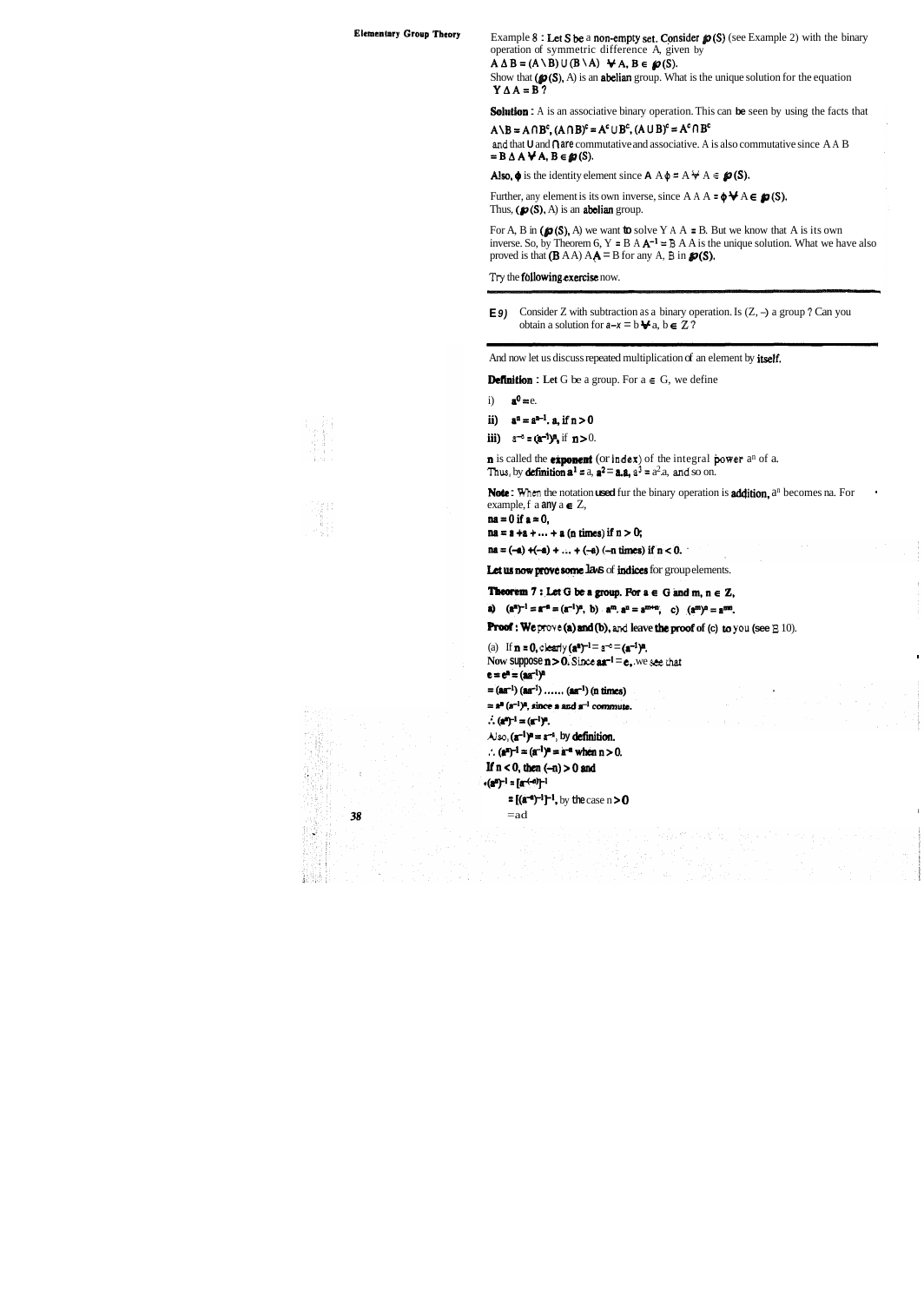**Elementary Group Theory** Example 8 : Let S be a non-empty set. Consider  $\mathcal{D}(S)$  (see Example 2) with the binary operation of symmetric difference A, given by

 $A \Delta B = (A \setminus B) \cup (B \setminus A)$   $\forall A, B \in \mathcal{D}(S)$ .

Show that  $(\mathcal{D}(S), A)$  is an **abelian** group. What is the unique solution for the equation  $Y \Delta A = B$ ?

**Solution :** A is an associative binary operation. This can be seen by using the facts that

 $A \setminus B = A \cap B^c$ ,  $(A \cap B)^c = A^c \cup B^c$ ,  $(A \cup B)^c = A^c \cap B^c$ **and** that **U** and (7 **are** commutative and associative. A is also commutative since A A B  $= B \Delta A \forall A, B \in \mathcal{Q}(S)$ .

Also,  $\phi$  is the identity element since  $A \land \phi = A \nleftrightarrow A \in \mathcal{P}(S)$ .

Further, any element is its own inverse, since  $A A \rightarrow \phi \forall A \in \mathcal{D}(S)$ . Thus,  $(p(S), A)$  is an **abelian** group.

For A, B in ( $\mathcal{D}(S)$ , A) we want **to** solve Y A A = B. But we know that A is its own inverse. So, by Theorem 6,  $Y = B A A^{-1} = B A A$  is the unique solution. What we have also proved is that  $(B AA) AA = B$  for any A, B in  $\mathcal{P}(S)$ .

**<sup>E</sup>9)** Consider Z with subtraction as a binary operation. Is (Z, -) a group **7** Can you obtain a solution for  $a-x = b \blacktriangleright a$ ,  $b \in \mathbb{Z}$  ?

And now let us discuss repeated multiplication of an element by itself.

**Definition :** Let G be a group. For  $a \in G$ , we define

- i)  $\mathbf{a}^0 = e$ .
- ii)  $a^n = a^{n-1}$ . a, if  $n > 0$
- iii)  $a^{-n} = (a^{-1})^n$ , if  $n > 0$ .

**n** is called the **exponent** (or **index**) of the integral **power** a<sup>n</sup> of a. **Thus, by definition**  $\mathbf{a}^1 = a$ **,**  $\mathbf{a}^2 = \mathbf{a} \cdot \mathbf{a}$ **,**  $\mathbf{a}^3 = a^2 \cdot a$ **, and so on.** 

**Note :** When the notation **used** fur the binary operation is **addition**, a<sup>n</sup> becomes na. For example, f a **any**  $a \in Z$ ,

 $na = 0$  if  $a = 0$ ,

 $na = a + a + ... + a$  (n times) if  $n > 0$ ;

 $na = (-a) + (-a) + ... + (-a) (-n \text{ times}) \text{ if } n < 0.$ 

Let us now prove some laws of indices for group elements.

**Theorem 7:** Let G be a group. For  $a \in G$  and  $m, n \in Z$ ,

**a)**  $(a^n)^{-1} = a^{-n} = (a^{-1})^n$ , **b**)  $a^m \cdot a^n = a^{mn}$ , **c)**  $(a^m)^n = a^{mn}$ .<br>**Proof:** We prove **(a) and (b)**, and leave the proof of **(c)** to you (see  $\Xi$  10).

(a) If  $n = 0$ , *clearly*  $(a^a)^{-1} = a^{-a} = (a^{-1})^a$ . Now suppose  $n > 0$ . Since  $aa^{-1} = e$ , we see that  $e = e^{n} = (a a^{-1})^{n}$  $= (aa^{-1}) (aa^{-1}) \dots (aa^{-1}) (n \text{ times})$  $=$   $a^{n}$   $(a^{-1})^{n}$ , since a and  $a^{-1}$  commute.  $\therefore$  (a<sup>n</sup>)<sup>-1</sup> = (a<sup>-1</sup>)<sup>n</sup>.  $\lambda$ iso,  $(\mathbf{a}^{-1})^n = \mathbf{a}^{-n}$ , by definition. :.  $(a^{n})^{-1} = (a^{-1})^{n} = a^{-n}$  when  $n > 0$ . If  $n < 0$ , then  $(-n) > 0$  and  $*(a^n)^{-1} = [a^{(-n)}]^{-1}$  $=$   $[(a^{-n})^{-1}]^{-1}$ , by the case n > 0  $=$ ad  $\blacksquare$ 

38

1300年 - 1000年<br>日本社会

兼點

**Try** the fbllowing exercise now.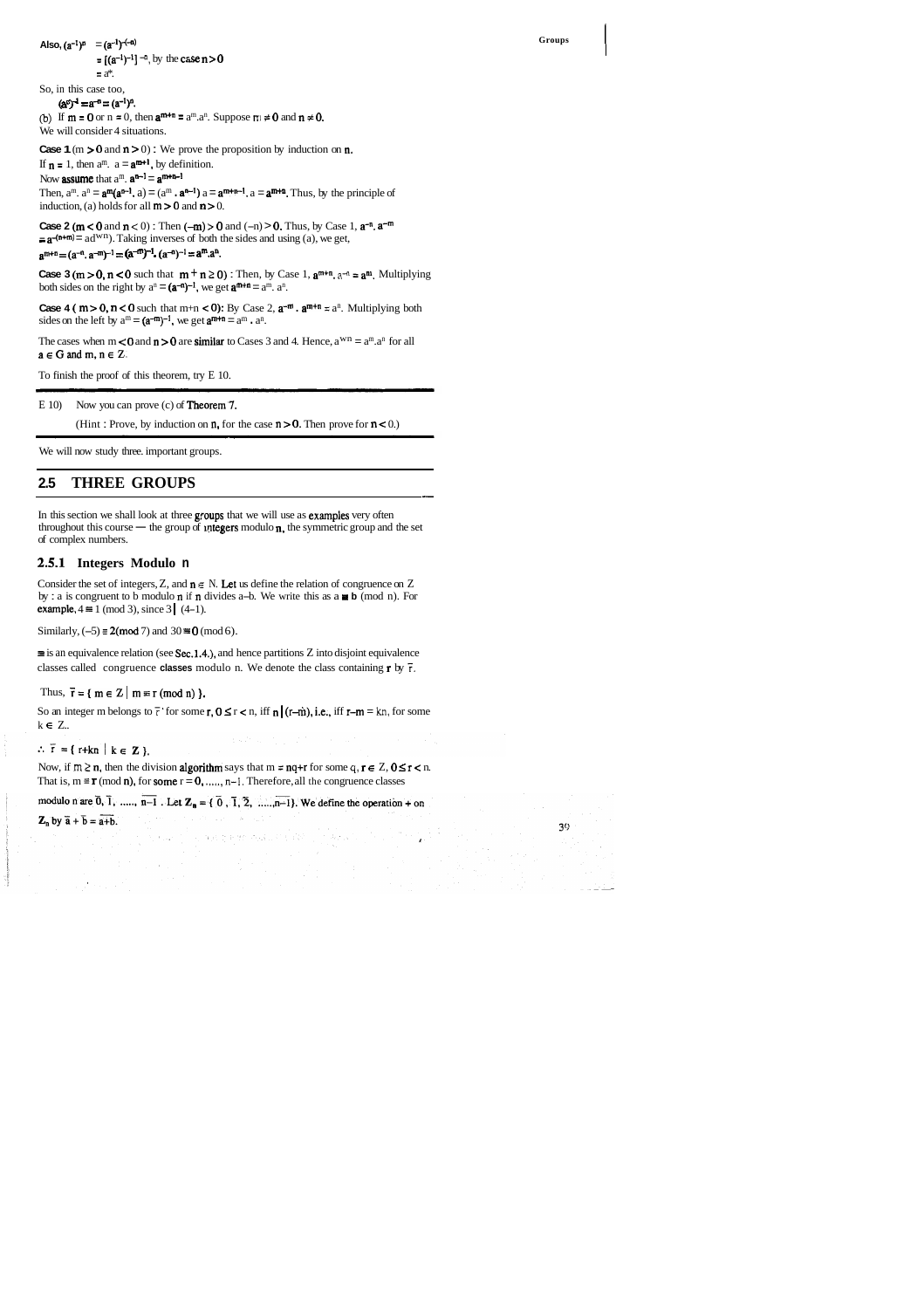## Also,  $(a^{-1})^n = (a^{-1})^{-(-n)}$

 $= [(a^{-1})^{-1}]^{-n}$ , by the case  $n > 0$ 

 $=$   $a^*$ . So, in this case too,

 $(a<sup>n</sup>)<sup>-1</sup> = a<sup>-n</sup> = (a<sup>-1</sup>)<sup>n</sup>.$ 

(b) If  $m = 0$  or  $n = 0$ , then  $a^{m+n} = a^m \cdot a^n$ . Suppose  $\pi \neq 0$  and  $n \neq 0$ . We will consider 4 situations.

**Case 1** ( $m > 0$  and  $n > 0$ ) : We prove the proposition by induction on  $n$ .

If  $\mathbf{n} = 1$ , then  $\mathbf{a}^{\text{m}}$ .  $\mathbf{a} = \mathbf{a}^{\text{m+1}}$ , by definition.

Now **assume** that  $a^m$ .  $a^{n-1} = a^{m+n-1}$ 

Then,  $a^m$ .  $a^n = \mathbf{a}^m(\mathbf{a}^{n-1}, a) = (a^m \cdot \mathbf{a}^{n-1}) a = \mathbf{a}^{m+n-1}$ .  $a = \mathbf{a}^{m+n}$ . Thus, by the principle of induction, (a) holds for all  $m > 0$  and  $n > 0$ .

**Case 2 (m < 0** and  $n$  < 0) : Then  $(-m)$  > 0 and  $(-n)$  > 0. Thus, by Case 1,  $a^{-n}$ ,  $a^{-m}$  $= a^{-(n+m)} = ad^{wn}$ . Taking inverses of both the sides and using (a), we get,  $a^{m+n} = (a^{-n}, a^{-m})^{-1} = (a^{-m})^{-1}$ .  $(a^{-n})^{-1} = a^m \cdot a^n$ .

**Case 3 (m > 0, n < 0** such that  $m + n \ge 0$ ) : Then, by Case 1,  $a^{m+n}$ .  $a^{-n} = a^m$ . Multiplying both sides on the right by  $a^n = (a^{-n})^{-1}$ , we get  $a^{m+n} = a^m$ .  $a^n$ .

**Case 4 (**  $m > 0$ **,**  $n < 0$  such that  $m+n < 0$ ): By Case 2,  $a^{-m}$ .  $a^{m+n} \equiv a^n$ . Multiplying both sides on the left by  $a^m = (a^{-m})^{-1}$ , we get  $a^{m+n} = a^m \cdot a^n$ .

The cases when  $m < 0$  and  $n > 0$  are similar to Cases 3 and 4. Hence,  $a^{w}n = a^{m} \cdot a^{n}$  for all  $a \in G$  and  $m, n \in Z$ .

 $\equiv$  is an equivalence relation (see Sec.1.4.), and hence partitions Z into disjoint equivalence classes called congruence **classes** modulo n. We denote the class containing r by 7.

Thus,  $\bar{r} = \{ m \in Z \mid m \equiv r \pmod{n} \}.$ 

So an integer m belongs to  $\bar{r}$  for some r,  $0 \le r < n$ , iff  $n | (r-m)$ , i.e., iff  $r-m = kn$ , for some k **E** Z..

 $\therefore \vec{r} = \{ r+kn \mid k \in \mathbb{Z} \}.$ 

Now, if  $m \ge n$ , then the division **algorithm** says that  $m = nq+r$  for some  $q, r \in \mathbb{Z}, 0 \le r \le n$ . That is,  $m \equiv r \pmod{n}$ , for some  $r = 0$ , ...,  $n-1$ . Therefore, all the congruence classes

modulo n are  $\overline{0}$ ,  $\overline{1}$ , ....,  $\overline{n-1}$ . Let  $\mathbb{Z}_n = \{\overline{0}, \overline{1}, \overline{2}, \dots, \overline{n-1}\}$ . We define the operation + on

a mathematical consideration

 $\mathbf{Z}_n$  by  $\overline{a} + \overline{b} = \overline{a+b}$ .

To finish the proof of this theorem, try E 10.

E 10) Now you can prove (c) of Theorem'7.

(Hint: Prove, by induction on  $\mathfrak n$ , for the case  $\mathfrak n > 0$ . Then prove for  $\mathfrak n < 0$ .) (a) Now you can prove (c) of **Theorem 7.**<br>(Hint: Prove, by induction on **n**, for the case  $n > 0$ . Then prove that there is a property and the case  $n > 0$ . Then

 $39<sub>1</sub>$ 

1

We will now study three. important groups.

## **2.5 THREE GROUPS**

In this section we shall look at three groups that we will use as examples very often throughout this course  $-$  the group of untegers modulo n, the symmetric group and the set of complex numbers.

### **2.5.1 Integers Modulo n**

Consider the set of integers, Z, and  $n \in N$ . Let us define the relation of congruence on Z Consider the set of integers, Z, and  $n \in N$ . Let us define the relation of congruence on Z<br>by : a is congruent to b modulo n if n divides a-b. We write this as  $a \equiv b \pmod{n}$ . For by : a is congruent to b modulo **n** if **n** divides a-b. We write this as  $a \equiv b \pmod{n}$ . For **example,**  $4 \equiv 1 \pmod{3}$ , since  $3 \mid (4-1)$ .

Similarly,  $(-5) \equiv 2 \pmod{7}$  and  $30 \equiv 0 \pmod{6}$ .

 $\mathbf{v}_1$  and  $\mathbf{v}_2$  .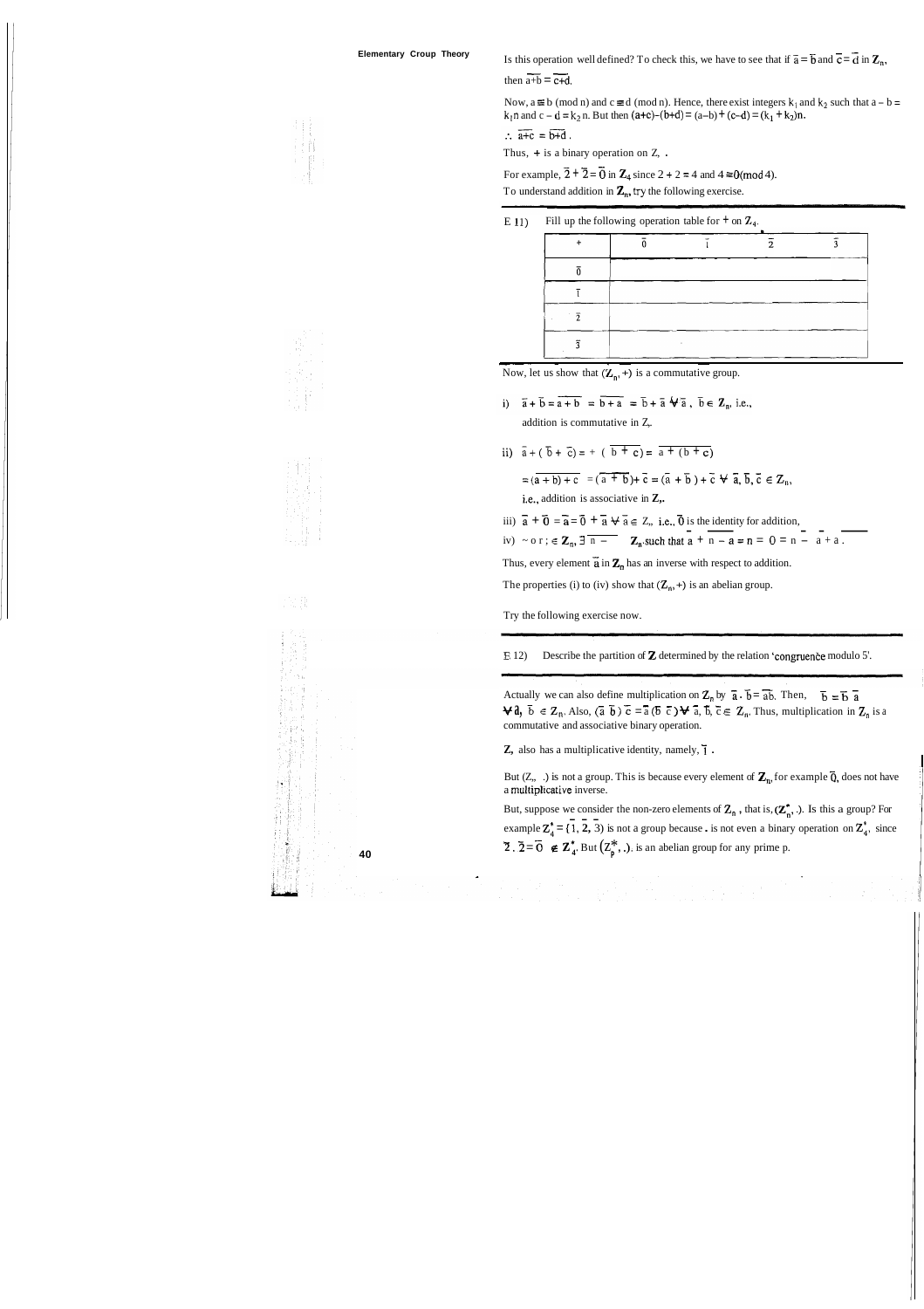**Elementary Croup Theory** Is this operation well defined? To check this, we have to see that if  $\bar{a} = \bar{b}$  and  $\bar{c} = \bar{d}$  in  $\mathbb{Z}_n$ , Is this operation we<br>then  $\overline{a+b} = \overline{c+d}$ .

Now,  $a \equiv b \pmod{n}$  and  $c \equiv d \pmod{n}$ . Hence, there exist integers  $k_1$  and  $k_2$  such that  $a - b =$  $k_1$ n and c – d =  $k_2$ n. But then (a+c)–(b+d) = (a–b) + (c–d) = (k<sub>1</sub> + k<sub>2</sub>)n.

 $\therefore \overline{a+c} = \overline{b+d}$ .

Thus,  $+$  is a binary operation on Z, .

For example,  $\overline{2} + \overline{2} = \overline{0}$  in  $\mathbb{Z}_4$  since  $2 + 2 = 4$  and  $4 \equiv 0 \pmod{4}$ .

To understand addition in  $\mathbb{Z}_n$ , try the following exercise.

E 11) Fill up the following operation table for  $\pm$  on  $\mathbb{Z}_4$ .

addition is commutative in Z,.

ii)  $\bar{a} + (\bar{b} + \bar{c}) = + (\bar{b} + \bar{c}) = \bar{a} + (\bar{b} + \bar{c})$ 

i)  $\overline{a} + \overline{b} = \overline{a+b} = \overline{b+a} = \overline{b} + \overline{a} + \overline{a}$ ,  $\overline{b} \in \mathbb{Z}_n$ , i.e.,<br>addition is commutative in Z,<br>ii)  $\overline{a} + (\overline{b} + \overline{c}) = + (\overline{b + c}) = \overline{a + (b + c)}$ <br> $= (\overline{a + b}) + \overline{c} = (\overline{a + b}) + \overline{c} = (\overline{a} + \overline{b}) + \overline{c} + \overline{a$ 

Actually we can also define multiplication on  $Z_n$  by  $\bar{a} \cdot \bar{b} = \bar{a} \bar{b}$ . Then,  $\bar{b} = \bar{b} \bar{a}$ <br>  $\forall \hat{a}, \bar{b} \in Z_n$ . Also,  $(\bar{a} \bar{b}) \bar{c} = \bar{a} (\bar{b} \bar{c}) \forall \bar{a}, \bar{b}, \bar{c} \in Z_n$ . Thus, multiplication in  $Z_n$  is commutative and associative binary operation.

**Z**, also has a multiplicative identity, namely,  $\overline{1}$ .

i.e., addition is associative in **Z,.** 

iii)  $\vec{a} + \vec{0} = \vec{a} = \vec{0} + \vec{a} \quad \forall \vec{a} \in \vec{z}$ , i.e.,  $\vec{0}$  is the identity for addition,

ii)  $a + (b + c) = + (b + c) = a + (b + c)$ <br>  $= (a + b) + c = (a + b) + c = (a + b) + c + a, b, c \in \mathbb{Z}_n,$ <br>
i.e., addition is associative in Z,.<br>
iii)  $\overline{a} + \overline{0} = \overline{a} = \overline{0} + \overline{a} + \overline{a} \in \mathbb{Z}_n$ , i.e.,  $\overline{0}$  is the identity for addition,<br>
iv)

Thus, every element  $\tilde{a}$  in  $\mathbb{Z}_n$  has an inverse with respect to addition.

The properties (i) to (iv) show that  $(\mathbb{Z}_n, +)$  is an abelian group.

But  $(Z, \ldots)$  is not a group. This is because every element of  $Z_n$ , for example  $\overline{Q}$ , does not have a multiplicative inverse.

But, suppose we consider the non-zero elements of  $\mathbb{Z}_n$ , that is,  $(\mathbb{Z}_n^*$ , .). Is this a group? For example  $Z_a^* = \{1, 2, 3\}$  is not a group because . is not even a binary operation on  $Z_a^*$ , since ex:<br>न **2** .  $\overline{2} = \overline{0}$   $\in \mathbb{Z}_4^*$ **. But**  $(\mathbb{Z}_p^*, \cdot)$ **, is an abelian group for any prime p.** 







Try the following exercise now.

**E** 12) Describe the partition of **Z** determined by the relation 'congruence modulo 5'.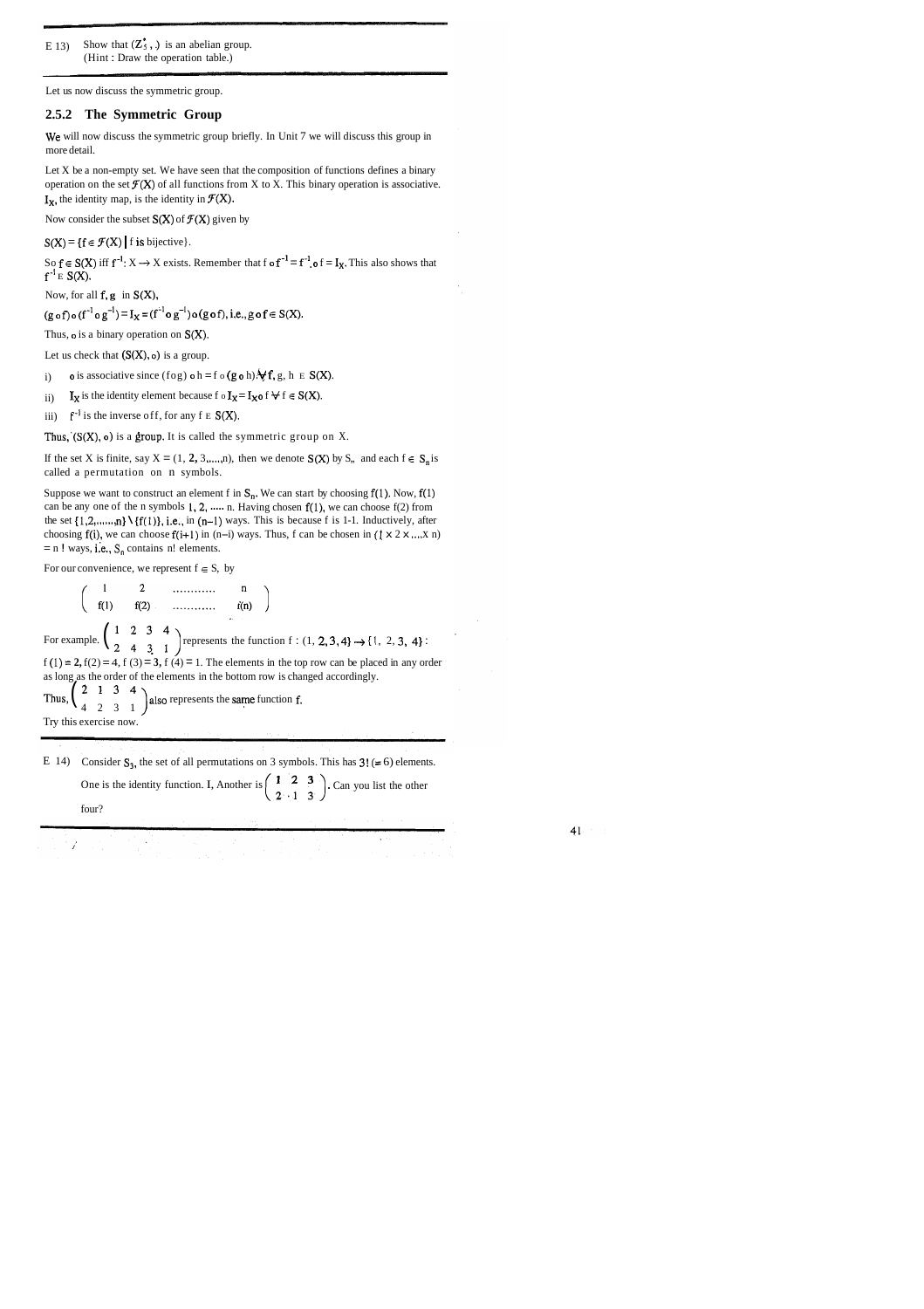E 13) Show that  $(\mathbb{Z}_5^*$ , .) is an abelian group. (Hint : Draw the operation table.)

Let us now discuss the symmetric group.

Let X be a non-empty set. We have seen that the composition of functions defines a binary operation on the set  $\mathcal{F}(X)$  of all functions from X to X. This binary operation is associative.  $I_X$ , the identity map, is the identity in  $\mathcal{F}(X)$ .

Now consider the subset  $S(X)$  of  $\mathcal{F}(X)$  given by

 $S(X) = \{f \in \mathcal{F}(X) \mid f \text{ is bijective}\}.$ 

So  $f \in S(X)$  iff  $f^{-1}: X \to X$  exists. Remember that f o  $f^{-1} = f^{-1}$  o  $f = I_X$ . This also shows that  $f^{-1}E S(X)$ .

### **2.5.2 The Symmetric Group**

We will now discuss the symmetric group briefly. In Unit 7 we will discuss this group in more detail.

If the set X is finite, say  $X = (1, 2, 3, \ldots, n)$ , then we denote  $S(X)$  by S,, and each  $f \in S_n$  is called a permutation on n symbols.

Suppose we want to construct an element f in  $S_n$ . We can start by choosing f(1). Now, f(1) can be any one of the n symbols  $1, 2, \dots$  n. Having chosen  $f(1)$ , we can choose  $f(2)$  from the set  $\{1,2,...,n\} \setminus \{f(1)\},$  i.e., in (n-1) ways. This is because f is 1-1. Inductively, after choosing  $f(i)$ , we can choose  $f(i+1)$  in (n-i) ways. Thus, f can be chosen in ( $\ell \times 2 \times ... \times n$ )  $=$  n ! ways, i.e.,  $S_n$  contains n! elements.

Now, for all f, **g** in S(X),

 $(g \circ f) \circ (f^{-1} \circ g^{-1}) = I_X = (f^{-1} \circ g^{-1}) \circ (g \circ f),$  i.e.,  $g \circ f \in S(X)$ .

Thus,  $\circ$  is a binary operation on  $S(X)$ .

Let us check that  $(S(X), o)$  is a group.

i) o is associative since (fog) o h = f o (g o h)  $\forall$  f, g, h E S(X).

ii) I<sub>x</sub> is the identity element because f  $\circ$  I<sub>x</sub> = I<sub>x</sub> o f  $\forall$  f  $\in$  S(X).

iii)  $f^{-1}$  is the inverse off, for any f  $E S(X)$ .

Thus,  $(S(X), o)$  is a group. It is called the symmetric group on X.

For our convenience, we represent  $f \in S$ , by<br>  $\begin{pmatrix} 1 & 2 & \dots & n \\ f(1) & f(2) & \dots & f(n) \end{pmatrix}$ For example.  $\begin{pmatrix} 1 & 2 & 3 & 4 \\ 2 & 4 & 3 & 1 \end{pmatrix}$  represents the function f : (1, 2, 3, 4}  $\rightarrow$  {1, 2, 3, 4} :  $f(1) = 2$ ,  $f(2) = 4$ ,  $f(3) = 3$ ,  $f(4) = 1$ . The elements in the top row can be placed in any order as long as the order of the elements in the bottom row is changed accordingly. Thus,  $\begin{pmatrix} 2 & 1 & 3 & 4 \\ 4 & 2 & 3 & 1 \end{pmatrix}$  also represents the same function f. Try this exercise now.

E 14) Consider  $S_3$ , the set of all permutations on 3 symbols. This has 3! (= 6) elements. One is the identity function. I, Another is  $\begin{pmatrix} 1 & 2 & 3 \\ 2 & 1 & 3 \end{pmatrix}$ . Can you list the other four?  $\alpha$  .

41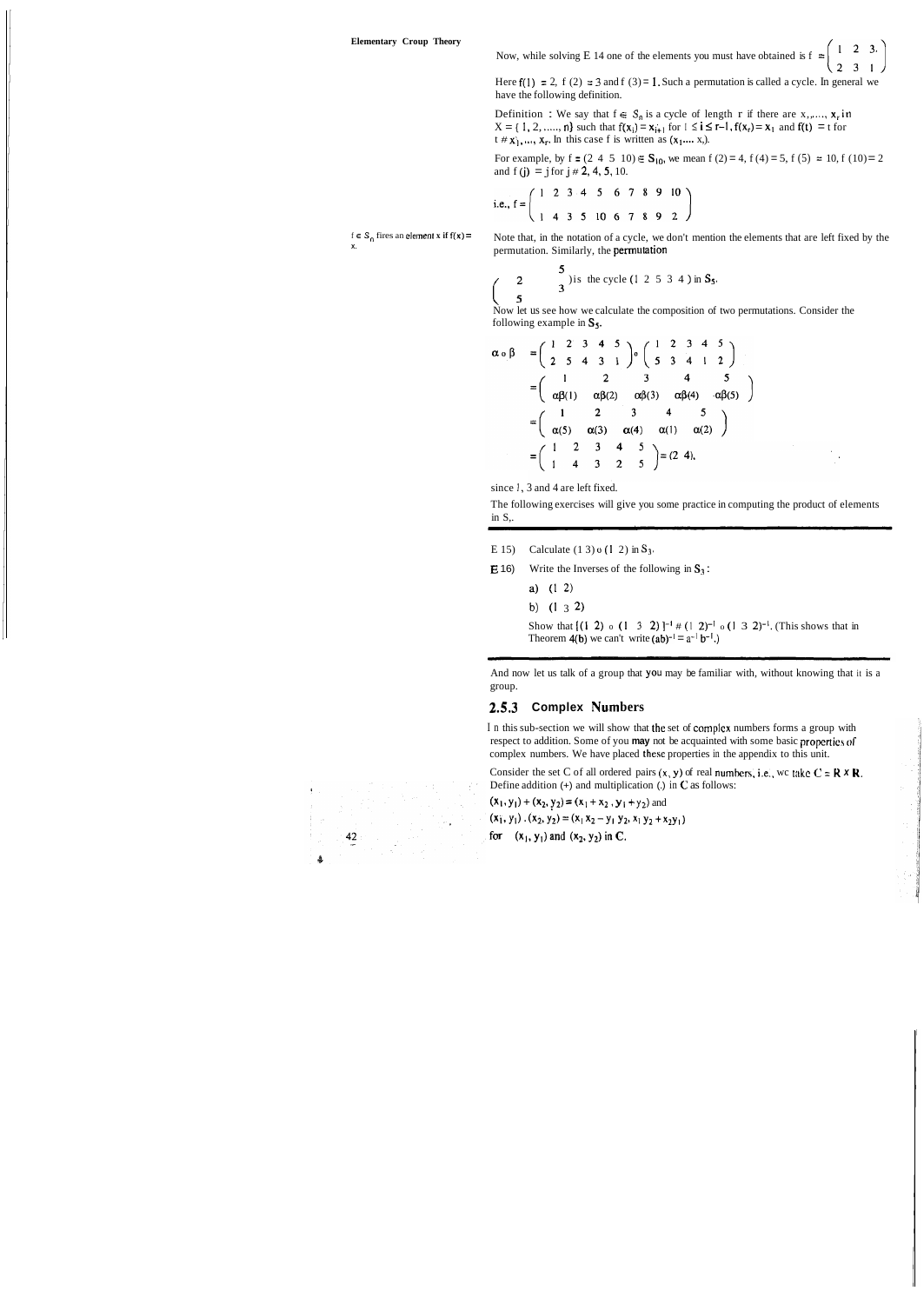$1 \quad 2 \quad 3.$ Now, while solving E 14 one of the elements you must have obtained is f  $\approx$ 

**X.** 

Here  $f(1) = 2$ ,  $f(2) = 3$  and  $f(3) = 1$ . Such a permutation is called a cycle. In general we have the following definition.

Definition : We say that  $f \in S_n$  is a cycle of length r if there are x,,...,  $x_r$  in  $X = \{ 1, 2, ..., n \}$  such that  $f(x_i) = x_{i+1}$  for  $1 \le i \le r-1$ ,  $f(x_r) = x_1$  and  $f(t) = t$  for  $X = \{1, 2, \ldots, n\}$  such that  $f(x_i) = x_{i+1}$  for  $1 \le i \le r-1$ ,  $f(x_r) = x_1$  and  $f(t) = t$  for  $t \ne x_1, \ldots, x_r$ . In this case f is written as  $(x_1, \ldots, x_r)$ .

For example, by f =  $(2\ 4\ 5\ 10) \in S_{10}$ , we mean f  $(2) = 4$ , f  $(4) = 5$ , f  $(5) = 10$ , f  $(10) = 2$ and  $f(j) = j$  for  $j \ne 2, 4, 5, 10$ .

i.e., 
$$
f = \begin{pmatrix} 1 & 2 & 3 & 4 & 5 & 6 & 7 & 8 & 9 & 10 \\ 1 & 4 & 3 & 5 & 10 & 6 & 7 & 8 & 9 & 2 \end{pmatrix}
$$

 $f \in S_0$  fires an **clement x** if  $f(x) =$ 

Now let us see how we calculate the composition of two permutations. Consider the following example in  $S_5$ .

$$
\alpha \circ \beta = \begin{pmatrix} 1 & 2 & 3 & 4 & 5 \\ 2 & 5 & 4 & 3 & 1 \end{pmatrix} \circ \begin{pmatrix} 1 & 2 & 3 & 4 & 5 \\ 5 & 3 & 4 & 1 & 2 \end{pmatrix}
$$
  
= 
$$
\begin{pmatrix} 1 & 2 & 3 & 4 & 5 \\ \alpha\beta(1) & \alpha\beta(2) & \alpha\beta(3) & \alpha\beta(4) & \alpha\beta(5) \end{pmatrix}
$$
  
= 
$$
\begin{pmatrix} 1 & 2 & 3 & 4 & 5 \\ \alpha(5) & \alpha(3) & \alpha(4) & \alpha(1) & \alpha(2) \end{pmatrix}
$$
  
= 
$$
\begin{pmatrix} 1 & 2 & 3 & 4 & 5 \\ 1 & 4 & 3 & 2 & 5 \end{pmatrix} = (2 \ 4),
$$

since 1, 3 and 4 are left fixed.

The following exercises will give you some practice in computing the product of elements in  $S$ .

- E 15) Calculate  $(1\ 3)$  o  $(1\ 2)$  in  $S_3$ .
- **E** 16) Write the Inverses of the following in  $S_3$ :
	- a) (1 **2)**
	- **b)** (1 3 2)

Show that  $[(1 \ 2) \ 0 \ (1 \ 3 \ 2)]^{-1}$  #  $(1 \ 2)^{-1} \ 0 \ (1 \ 3 \ 2)^{-1}$ . (This shows that in Theorem 4(b) we can't write  $(ab)^{-1} = a^{-1} b^{-1}$ .

Note that, in the notation of a cycle, we don't mention the elements that are left fixed by the

In this sub-section we will show that thc set of complcx numbers forms a group with respect to addition. Some of you **may** not be acquainted with some basic propertics **or**  complex numbers. We have placed these properties in the appendix to this unit.

permutation. Similarly, the **permutation**  
\n
$$
\begin{pmatrix}\n2 & 3 \\
5 & 3\n\end{pmatrix}
$$
 is the cycle (1 2 5 3 4) in **S**<sub>5</sub>.

Consider the set C of all ordered pairs  $(x, y)$  of real numbers, i.e., wc take  $C = \mathbf{R} \times \mathbf{R}$ . Define addition (+) and multiplication (.) in **C** as follows:

 $(x_1, y_1) + (x_2, y_2) = (x_1 + x_2, y_1 + y_2)$  and

 $(x_1, y_1)$ .  $(x_2, y_2) = (x_1 x_2 - y_1 y_2, x_1 y_2 + x_2 y_1)$ 

for  $(x_1, y_1)$  and  $(x_2, y_2)$  in C.

 $\frac{42}{ }$ 

And now let us talk of a group that you may be familiar with, without knowing that it is a group.

#### **2.5.3 Complex Numbers**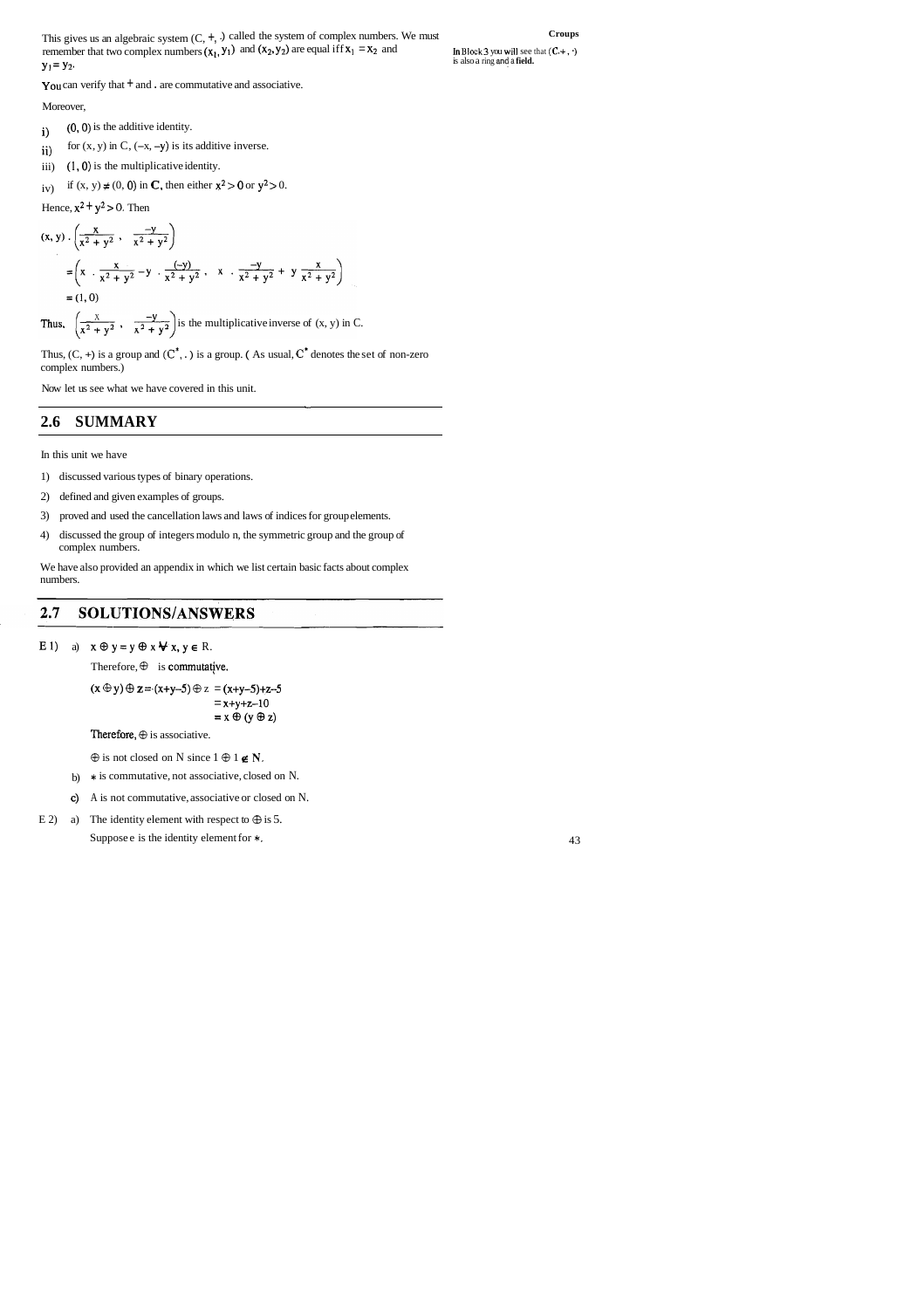This gives us an algebraic system  $(C, +, \cdot)$  called the system of complex numbers. We must **Croups** remember that two complex numbers  $(x_1, y_1)$  and  $(x_2, y_2)$  are equal iff  $x_1 = x_2$  and **In Block 3 you will see that**  $(C, +, \cdot)$  $y_1 = y_2$ .

You can verify that  $+$  and . are commutative and associative.

#### Moreover,

- $i)$  (0,0) is the additive identity.
- ii) for  $(x, y)$  in C,  $(-x, -y)$  is its additive inverse.
- iii) (1,O) is the multiplicative identity.
- iv) if  $(x, y) \neq (0, 0)$  in **C**, then either  $x^2 > 0$  or  $y^2 > 0$ .

Hence,  $x^2 + y^2 > 0$ . Then

$$
(x, y) \cdot \left(\frac{x}{x^2 + y^2}, \frac{-y}{x^2 + y^2}\right)
$$
  
=  $\left(x \cdot \frac{x}{x^2 + y^2} - y \cdot \frac{(-y)}{x^2 + y^2}, x \cdot \frac{-y}{x^2 + y^2} + y \frac{x}{x^2 + y^2}\right)$   
= (1, 0)

Thus,  $\left(\frac{x}{x^2 + y^2}, \frac{-y}{x^2 + y^2}\right)$  is the multiplicative inverse of  $(x, y)$  in C.

Thus,  $(C, +)$  is a group and  $(C^*, \cdot)$  is a group. (As usual,  $C^*$  denotes the set of non-zero complex numbers.)

- b) \* is commutative, not associative, closed on N.
- c) A is not commutative, associative or closed on N.
- E 2) a) The identity element with respect to  $\oplus$  is 5.

Suppose e is the identity element for  $\ast$ . 43

In Block 3 you will see that  $(C, +, \cdot)$  is also a ring and a **field.** 

Now let us see what we have covered in this unit.

-

## **2.6 SUMMARY**

In this unit we have

- 1) discussed various types of binary operations.
- 2) defined and given examples of groups.
- 3) proved and used the cancellation laws and laws of indices for group elements.
- 4) discussed the group of integers modulo n, the symmetric group and the group of complex numbers.

We have also provided an appendix in which we list certain basic facts about complex numbers.

#### SOLUTIONS/ANSWERS  $2.7$

E 1) a)  $x \oplus y = y \oplus x \bigvee x$ ,  $y \in R$ .

Therefore,  $\oplus$  is commutative.

 $(x \oplus y) \oplus z = (x+y-5) \oplus z = (x+y-5)+z-5$  $= x+y+z-10$  $= x \oplus (y \oplus z)$ 

Therefore,  $\oplus$  is associative.

 $\oplus$  is not closed on N since 1  $\oplus$  1  $\in$  N.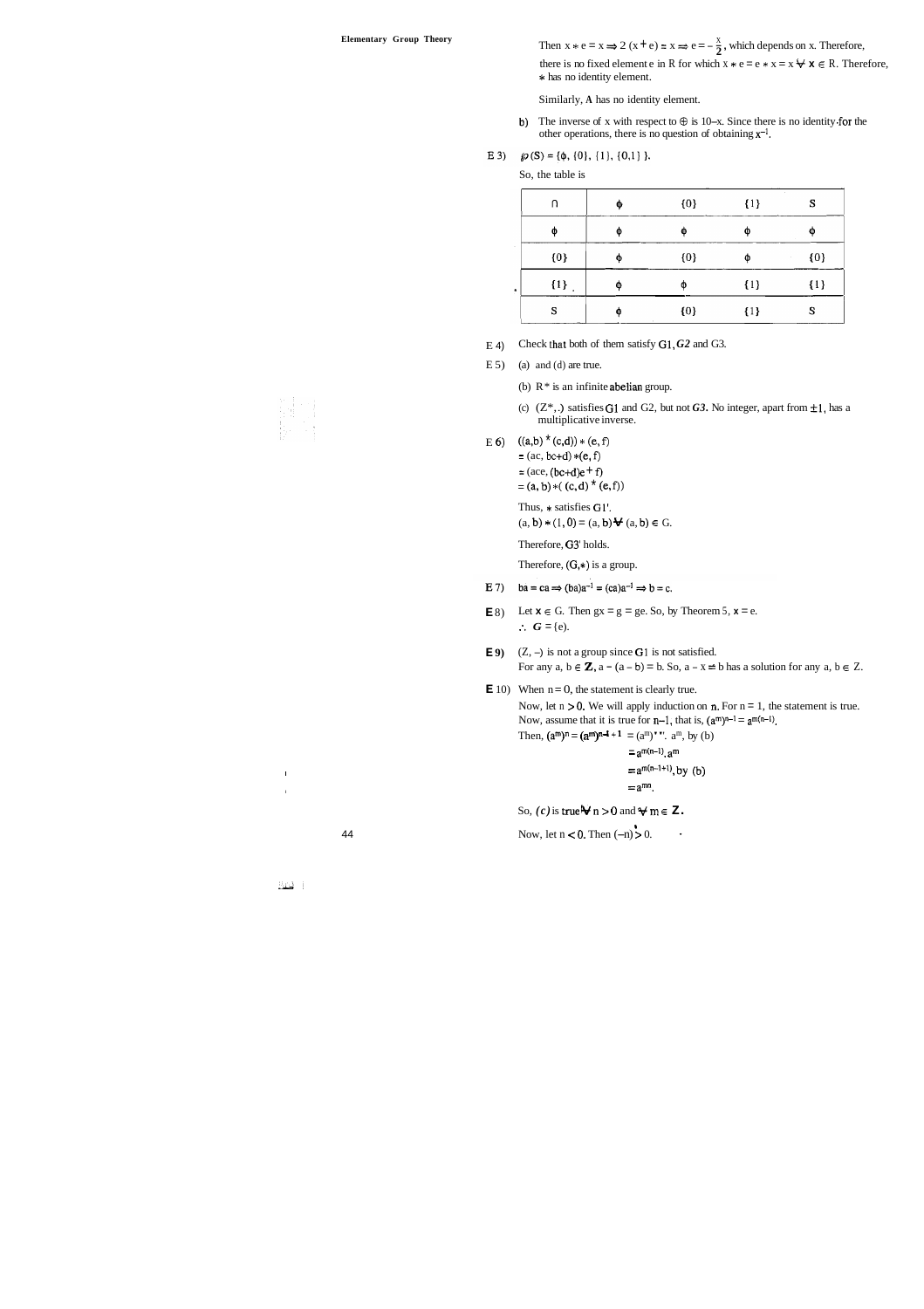**Elementary Group Theory** Then  $x * e = x \Rightarrow 2 (x + e) = x \Rightarrow e = -\frac{x}{2}$ , which depends on x. Therefore,

there is no fixed element e in R for which  $x * e = e * x = x \forall x \in R$ . Therefore, **s** has no identity element.

- E 4) Check Lhat both of them satisfy GI, *G2* and G3.
- $E 5$  (a) and (d) are true.

 $\hat{\textbf{z}}$ 

(b)  $R^*$  is an infinite abelian group.

- (c)  $(Z^*,.)$  satisfies G1 and G2, but not G3. No integer, apart from  $\pm 1$ , has a multiplicative inverse.
- E 6)  $((a,b)^*(c,d)) * (e,f)$

 $= (ac, bc+d) * (e, f)$  $=(ace, (bc+d)e + f)$  $=(a, b) *((c, d) * (e, f))$ 

Similarly, **A** has no identity element.

- b) The inverse of x with respect to  $\oplus$  is 10-x. Since there is no identity for the other operations, there is no question of obtaining  $x^{-1}$ .
- E 3)  $\mathcal{D}(S) = \{\phi, \{0\}, \{1\}, \{0,1\}\}.$

Thus, \* satisfies Gl'.  $(a, b) * (1, 0) = (a, b) \cdot (a, b) \in G.$ 

So, the table is

| n     | φ | ${0}$ | $\{1\}$ | S       |
|-------|---|-------|---------|---------|
| Φ     | Φ | Ф     | Φ       | œ       |
| ${0}$ | φ | ${0}$ | Φ       | ${0}$   |
| ${1}$ | Φ | Φ     | $\{1\}$ | $\{1\}$ |
| S     | Φ | ${0}$ | $\{1\}$ | S       |

Therefore, G3' holds.

Therefore,  $(G,*)$  is a group.

- E 7)  $ba = ca \Rightarrow (ba)a^{-1} = (ca)a^{-1} \Rightarrow b = c.$
- **E** 8) Let  $x \in G$ . Then  $gx = g = ge$ . So, by Theorem 5,  $x = e$ .  $\therefore$   $G = \{e\}.$
- **E9**)  $(Z, -)$  is not a group since **G**1 is not satisfied. For any  $a, b \in \mathbb{Z}$ ,  $a - (a - b) = b$ . So,  $a - x = b$  has a solution for any  $a, b \in \mathbb{Z}$ .

 $\mathbf{E}$  10) When  $n = 0$ , the statement is clearly true.

Now, let  $n > 0$ . We will apply induction on  $n$ . For  $n = 1$ , the statement is true. Now, assume that it is true for  $n-1$ , that is,  $(a^m)^{n-1} = a^{m(n-1)}$ . Then,  $(a^m)^n = (a^m)^{n-1} + 1 = (a^m)^{n}$ .  $a^m$ , by (b)

```
= a<sup>m(n-1)</sup>. a<sup>m</sup>
= a<sup>m(n-1+1</sup>), by (b)
= a^{mn}.
```
So,  $(c)$  is true  $\forall n > 0$  and  $\forall m \in \mathbb{Z}$ .

**84** Now, let  $n < 0$ . Then  $(-n) > 0$ .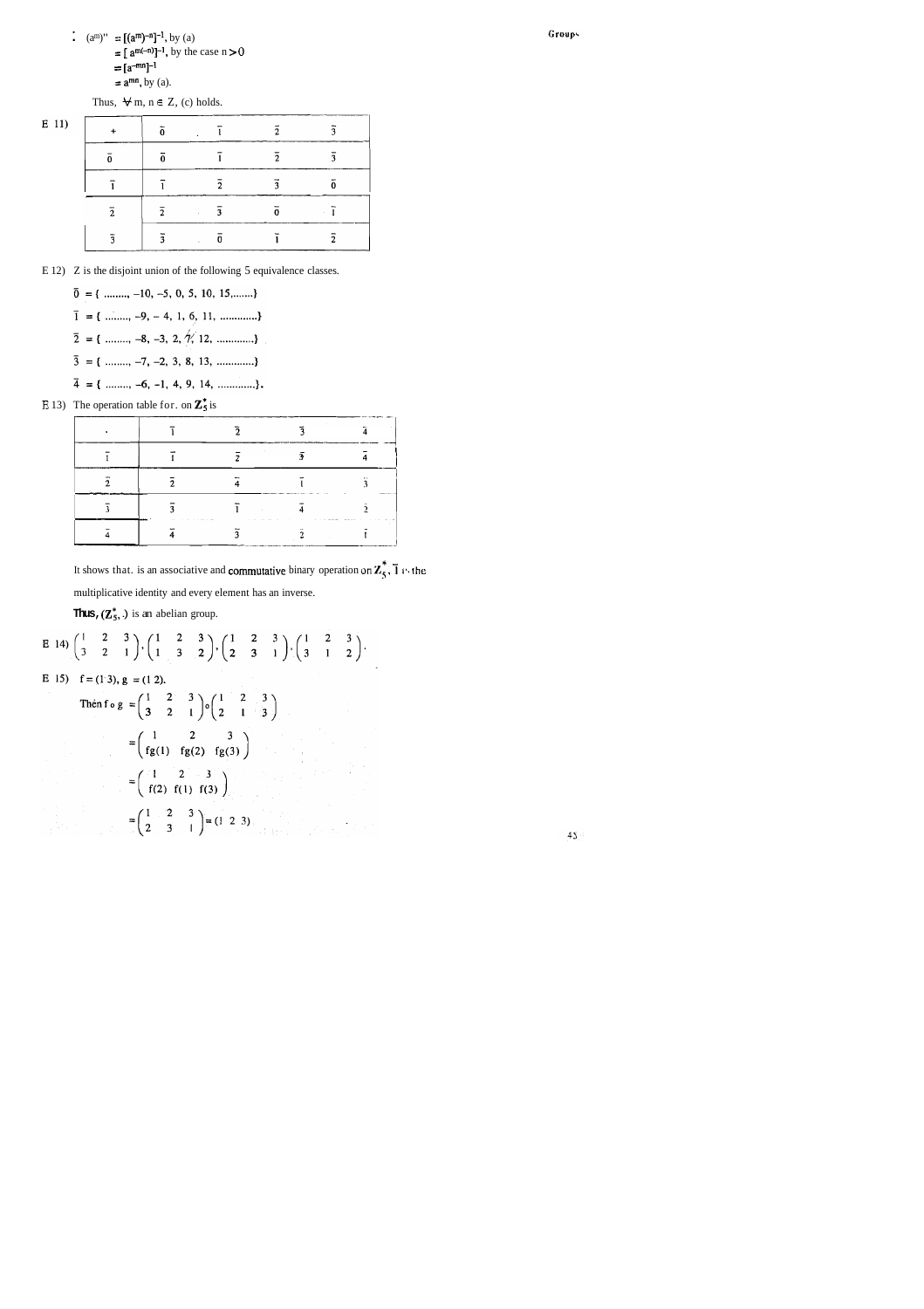:  $(a^m)'' = [(a^m)^{-n}]^{-1}$ , by (a)  $= [a^{m(-n)}]^{-1}$ , by the case  $n > 0$  $=[a^{-mn}]^{-1}$  $=$   $a^{mn}$ , by (a).

Thus,  $\forall m, n \in \mathbb{Z}$ , (c) holds.

| E 11) |   |   |               |   |    |  |
|-------|---|---|---------------|---|----|--|
|       |   |   |               | ↑ | ٦  |  |
|       |   |   | $\mathcal{L}$ | o |    |  |
|       | 2 | , | ٩             |   |    |  |
|       |   |   |               |   | ŋ, |  |

E 12) Z is the disjoint union of the following 5 equivalence classes.

 $\bar{3} = \{$  ........, -7, -2, 3, 8, 13, ..............} 

E 13) The operation table for. on  $\mathbb{Z}_5^*$  is

It shows that. is an associative and **commutative** binary operation on  $\mathbb{Z}_5^*$ ,  $\overline{1}$  is the multiplicative identity and every element has an inverse.

**Thus,**  $(\mathbb{Z}_5^*$ **.)** is an abelian group.

E 14) 
$$
\begin{pmatrix} 1 & 2 & 3 \\ 3 & 2 & 1 \end{pmatrix}
$$
,  $\begin{pmatrix} 1 & 2 & 3 \\ 1 & 3 & 2 \end{pmatrix}$ ,  $\begin{pmatrix} 1 & 2 & 3 \\ 2 & 3 & 1 \end{pmatrix}$ ,  $\begin{pmatrix} 1 & 2 & 3 \\ 3 & 1 & 2 \end{pmatrix}$ .  
\nE 15)  $f = (1 \ 3)$ ,  $g = (1 \ 2)$ .  
\nThen  $f \circ g = \begin{pmatrix} 1 & 2 & 3 \\ 3 & 2 & 1 \end{pmatrix}$ ,  $\begin{pmatrix} 1 & 2 & 3 \\ 2 & 1 & 3 \end{pmatrix}$   
\n $= \begin{pmatrix} 1 & 2 & 3 \\ fg(1) & fg(2) & fg(3) \end{pmatrix}$   
\n $= \begin{pmatrix} 1 & 2 & 3 \\ f(2) & f(1) & f(3) \end{pmatrix}$   
\n $= \begin{pmatrix} 1 & 2 & 3 \\ 2 & 3 & 1 \end{pmatrix} = (1 \ 2 \ 3)$ .

Groups

|  |  | $\cdots$                                                                                                                                                                                                                                            |
|--|--|-----------------------------------------------------------------------------------------------------------------------------------------------------------------------------------------------------------------------------------------------------|
|  |  | the state and the contract statement of the contract of the contract of the contract of the contract of the contract of the contract of the contract of the contract of the contract of the contract of the contract of the co<br>contractors.<br>. |
|  |  |                                                                                                                                                                                                                                                     |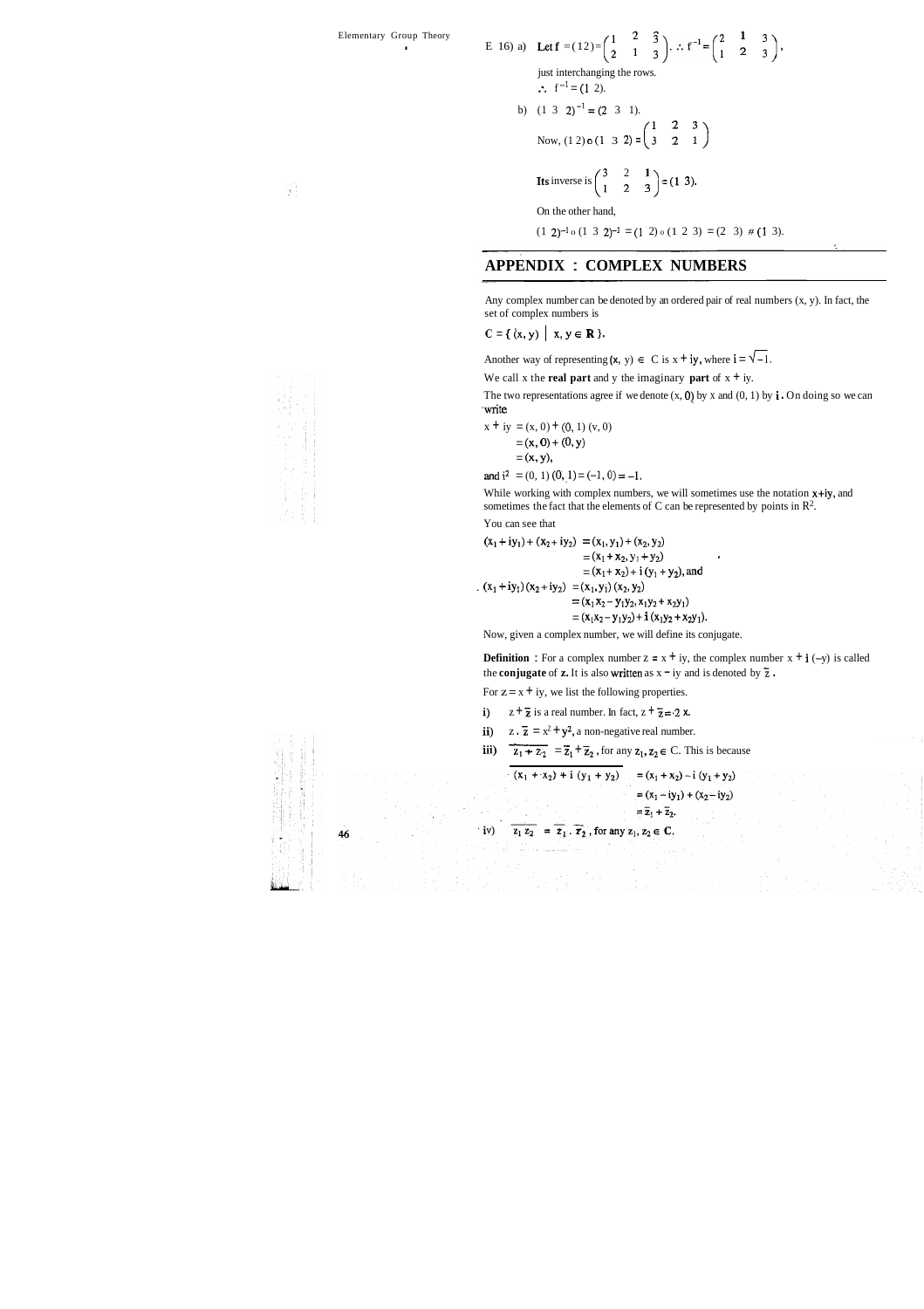E 16) a) Let 
$$
f = (12) = \begin{pmatrix} 1 & 2 & 3 \ 2 & 1 & 3 \end{pmatrix}
$$
.  $f^{-1} = \begin{pmatrix} 2 & 1 & 3 \ 1 & 2 & 3 \end{pmatrix}$ ,  
\njust interchange the rows.  
\n $\therefore f^{-1} = (1 \ 2)$ .  
\nb)  $(1 \ 3 \ 2)^{-1} = (2 \ 3 \ 1)$ .  
\nNow,  $(1 \ 2) \circ (1 \ 3 \ 2) = \begin{pmatrix} 1 & 2 & 3 \ 3 & 2 & 1 \end{pmatrix}$   
\nIts inverse is  $\begin{pmatrix} 3 & 2 & 1 \ 1 & 2 & 3 \end{pmatrix} = (1 \ 3)$ .  
\nOn the other hand,  
\n $(1 \ 2)^{-1} \circ (1 \ 3 \ 2)^{-1} = (1 \ 2) \circ (1 \ 2 \ 3) = (2 \ 3) \# (1 \ 3)$ .

Any complex number can be denoted by an ordered pair of real numbers  $(x, y)$ . In fact, the set of complex numbers is

 $C = \{ (x, y) | x, y \in \mathbb{R} \}.$ 

Another way of representing  $(x, y) \in C$  is  $x + iy$ , where  $i = \sqrt{-1}$ .

We call x the **real part** and y the imaginary **part** of  $x + iy$ .

The two representations agree if we denote  $(x, 0)$  by x and  $(0, 1)$  by  $\mathbf{i} \cdot \mathbf{O}$  and  $\mathbf{I}$  compared to  $\mathbf{I}$ 'write

## **APPENDIX** : **COMPLEX NUMBERS**

While working with complex numbers, we will sometimes use the notation  $x+iy$ , and sometimes the fact that the elements of C can be represented by points in R2.

$$
x + iy = (x, 0) + (0, 1) (v, 0)
$$
  
= (x, 0) + (0, y)

$$
=(x, y),
$$

and  $i^2 = (0, 1) (0, 1) = (-1, 0) = -1$ .

You can see that

$$
(x_1 + iy_1) + (x_2 + iy_2) = (x_1, y_1) + (x_2, y_2)
$$
  
=  $(x_1 + x_2, y_1 + y_2)$   
=  $(x_1 + x_2) + i (y_1 + y_2)$ , and  

$$
(x_1 + iy_1) (x_2 + iy_2) = (x_1, y_1) (x_2, y_2)
$$
  
=  $(x_1 x_2 - y_1 y_2, x_1 y_2 + x_2 y_1)$   
=  $(x_1 x_2 - y_1 y_2) + i (x_1 y_2 + x_2 y_1).$ 

Now, given a complex number, we will define its conjugate.

**Definition** : For a complex number  $z = x + iy$ , the complex number  $x + i$  (-y) is called the **conjugate** of **z.** It is also written as  $x - iy$  and is denoted by  $\overline{z}$ . given a complex nu<br> **ition** : For a compl<br> **njugate** of **z.** It is a<br>  $z = x + iy$ , we list the<br>  $z + \overline{z}$  is a real numb<br>  $z \cdot \overline{z} = x^2 + y^2$ , a no<br>  $z_1 + z_2 = \overline{z}_1 + \overline{z}_2$ 

For  $z = x + iy$ , we list the following properties.

- i)  $z + \overline{z}$  is a real number. In fact,  $z + \overline{z} = 2x$ .
- ii)  $z \cdot \overline{z} = x^2 + y^2$ , a non-negative real number.
- iii)  $\overline{z_1 + z_2} = \overline{z_1} + \overline{z_2}$ , for any  $z_1, z_2 \in C$ . This is because

 $=(x_1 - iy_1) + (x_2 - iy_2)$  $=\overline{z}_1+\overline{z}_2.$  $\overline{z_1 z_2} = \overline{z_1} \cdot \overline{z_2}$ , for any  $z_1, z_2 \in \mathbb{C}$ .  $iv)$ 



 $-46$